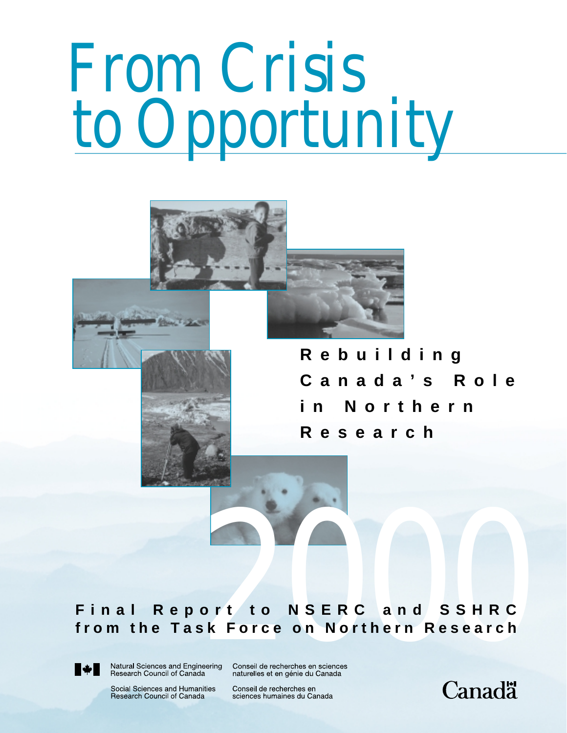# *From Crisis to Opportunity*

**Rebuilding Canada's Role in Northern Research**

# **Final Report to NSERC and SSHRC final Report to NSERC and SSHRC**<br>from the Task Force on Northern Research<br> **Property Algons** *2000 2000 2000 2000 2000 2000 2000 2000 2000 2000 2000 2000 2000 2000 2000 20000 200000 20000*



Social Sciences and Humanities Research Council of Canada

Conseil de recherches en sciences humaines du Canada

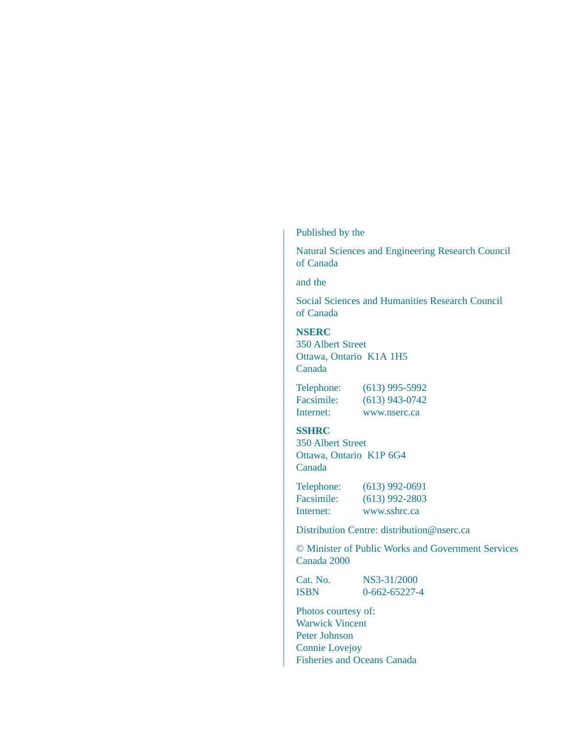### Published by the

Natural Sciences and Engineering Research Council of Canada

and the

Social Sciences and Humanities Research Council of Canada

### **NSERC**

350 Albert Street Ottawa, Ontario K1A 1H5 Canada

Telephone: (613) 995-5992 Facsimile: (613) 943-0742 Internet: www.nserc.ca

### **SSHRC**

350 Albert Street Ottawa, Ontario K1P 6G4 Canada

Telephone: (613) 992-0691 Facsimile: (613) 992-2803 Internet: www.sshrc.ca

Distribution Centre: distribution@nserc.ca

© Minister of Public Works and Government Services Canada 2000

Cat. No. NS3-31/2000 ISBN 0-662-65227-4

Photos courtesy of: Warwick Vincent Peter Johnson Connie Lovejoy Fisheries and Oceans Canada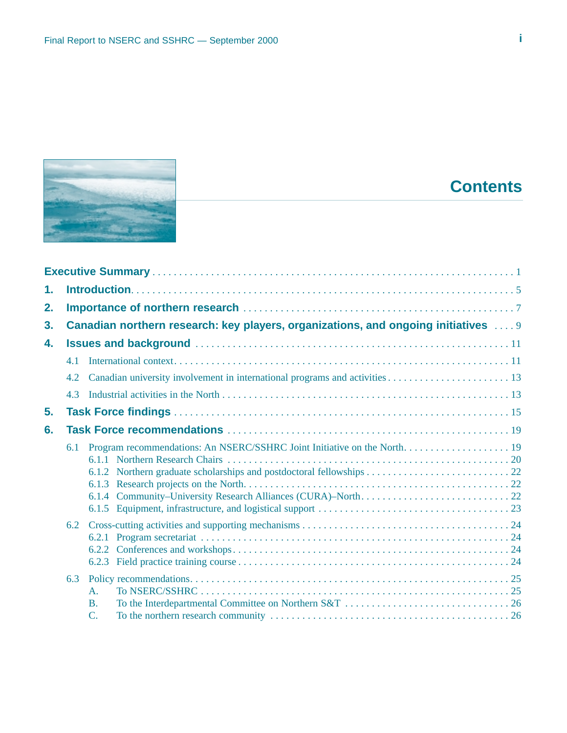

# **Contents**

| 1. |     |                                                                                      |  |  |  |  |  |
|----|-----|--------------------------------------------------------------------------------------|--|--|--|--|--|
| 2. |     |                                                                                      |  |  |  |  |  |
| 3. |     | Canadian northern research: key players, organizations, and ongoing initiatives  . 9 |  |  |  |  |  |
| 4. |     |                                                                                      |  |  |  |  |  |
|    | 4.1 |                                                                                      |  |  |  |  |  |
|    | 4.2 |                                                                                      |  |  |  |  |  |
|    | 4.3 |                                                                                      |  |  |  |  |  |
| 5. |     |                                                                                      |  |  |  |  |  |
| 6. |     |                                                                                      |  |  |  |  |  |
|    | 6.1 |                                                                                      |  |  |  |  |  |
|    | 6.2 |                                                                                      |  |  |  |  |  |
|    | 6.3 | $\mathbf{A}$ .<br>$\mathbf{B}$ .                                                     |  |  |  |  |  |
|    |     | $\mathcal{C}$ .                                                                      |  |  |  |  |  |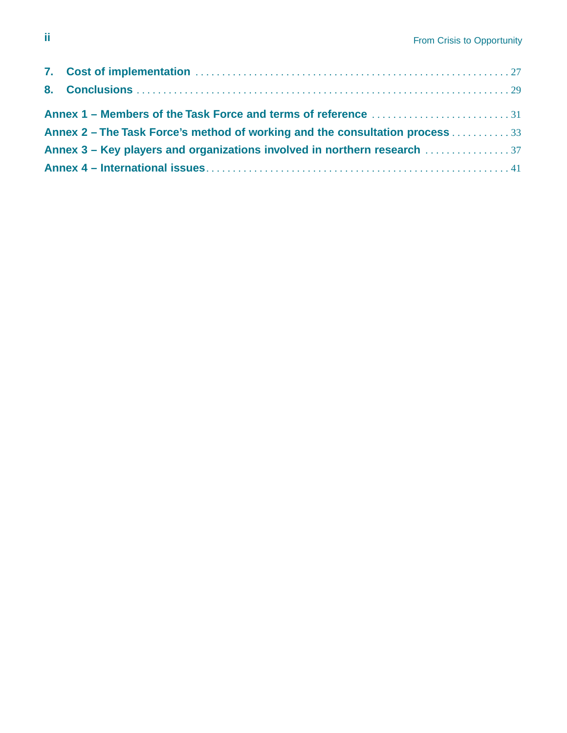| Annex 2 – The Task Force's method of working and the consultation process 33 |  |
|------------------------------------------------------------------------------|--|
|                                                                              |  |
|                                                                              |  |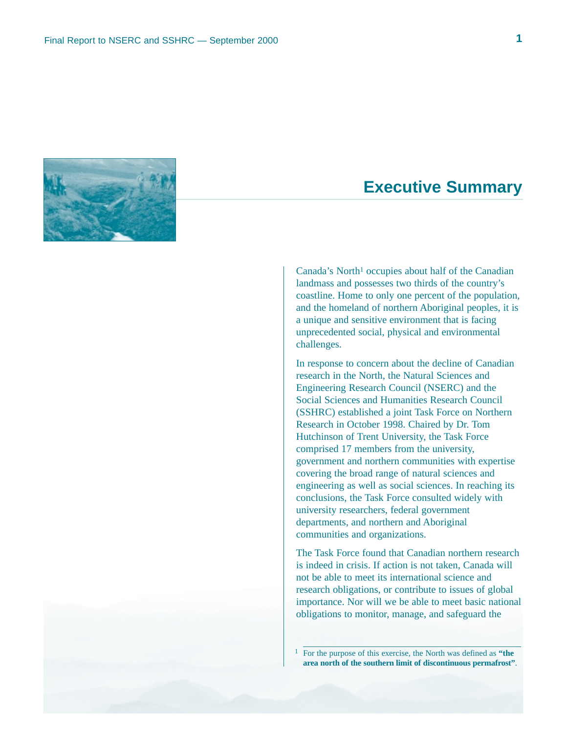

## **Executive Summary**

Canada's North<sup>1</sup> occupies about half of the Canadian landmass and possesses two thirds of the country's coastline. Home to only one percent of the population, and the homeland of northern Aboriginal peoples, it is a unique and sensitive environment that is facing unprecedented social, physical and environmental challenges.

In response to concern about the decline of Canadian research in the North, the Natural Sciences and Engineering Research Council (NSERC) and the Social Sciences and Humanities Research Council (SSHRC) established a joint Task Force on Northern Research in October 1998. Chaired by Dr. Tom Hutchinson of Trent University, the Task Force comprised 17 members from the university, government and northern communities with expertise covering the broad range of natural sciences and engineering as well as social sciences. In reaching its conclusions, the Task Force consulted widely with university researchers, federal government departments, and northern and Aboriginal communities and organizations.

The Task Force found that Canadian northern research is indeed in crisis. If action is not taken, Canada will not be able to meet its international science and research obligations, or contribute to issues of global importance. Nor will we be able to meet basic national obligations to monitor, manage, and safeguard the

1 For the purpose of this exercise, the North was defined as **"the area north of the southern limit of discontinuous permafrost"**.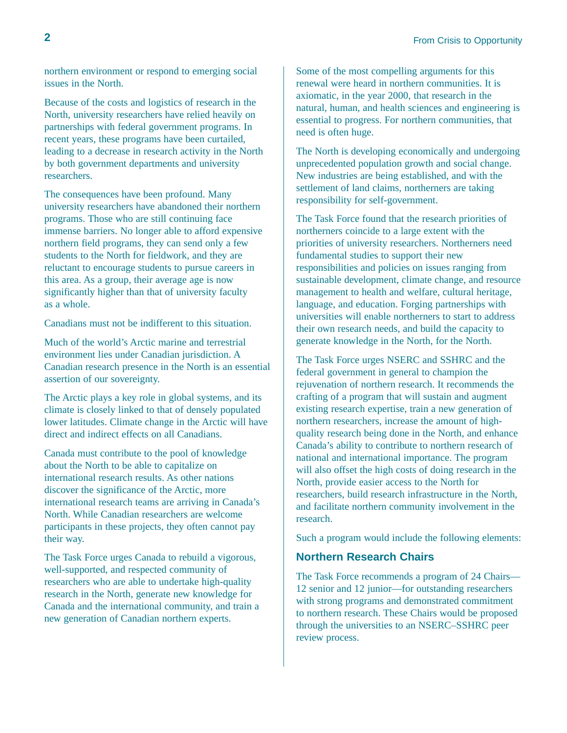northern environment or respond to emerging social issues in the North.

Because of the costs and logistics of research in the North, university researchers have relied heavily on partnerships with federal government programs. In recent years, these programs have been curtailed, leading to a decrease in research activity in the North by both government departments and university researchers.

The consequences have been profound. Many university researchers have abandoned their northern programs. Those who are still continuing face immense barriers. No longer able to afford expensive northern field programs, they can send only a few students to the North for fieldwork, and they are reluctant to encourage students to pursue careers in this area. As a group, their average age is now significantly higher than that of university faculty as a whole.

Canadians must not be indifferent to this situation.

Much of the world's Arctic marine and terrestrial environment lies under Canadian jurisdiction. A Canadian research presence in the North is an essential assertion of our sovereignty.

The Arctic plays a key role in global systems, and its climate is closely linked to that of densely populated lower latitudes. Climate change in the Arctic will have direct and indirect effects on all Canadians.

Canada must contribute to the pool of knowledge about the North to be able to capitalize on international research results. As other nations discover the significance of the Arctic, more international research teams are arriving in Canada's North. While Canadian researchers are welcome participants in these projects, they often cannot pay their way.

The Task Force urges Canada to rebuild a vigorous, well-supported, and respected community of researchers who are able to undertake high-quality research in the North, generate new knowledge for Canada and the international community, and train a new generation of Canadian northern experts.

Some of the most compelling arguments for this renewal were heard in northern communities. It is axiomatic, in the year 2000, that research in the natural, human, and health sciences and engineering is essential to progress. For northern communities, that need is often huge.

The North is developing economically and undergoing unprecedented population growth and social change. New industries are being established, and with the settlement of land claims, northerners are taking responsibility for self-government.

The Task Force found that the research priorities of northerners coincide to a large extent with the priorities of university researchers. Northerners need fundamental studies to support their new responsibilities and policies on issues ranging from sustainable development, climate change, and resource management to health and welfare, cultural heritage, language, and education. Forging partnerships with universities will enable northerners to start to address their own research needs, and build the capacity to generate knowledge in the North, for the North.

The Task Force urges NSERC and SSHRC and the federal government in general to champion the rejuvenation of northern research. It recommends the crafting of a program that will sustain and augment existing research expertise, train a new generation of northern researchers, increase the amount of highquality research being done in the North, and enhance Canada's ability to contribute to northern research of national and international importance. The program will also offset the high costs of doing research in the North, provide easier access to the North for researchers, build research infrastructure in the North, and facilitate northern community involvement in the research.

Such a program would include the following elements:

### **Northern Research Chairs**

The Task Force recommends a program of 24 Chairs— 12 senior and 12 junior—for outstanding researchers with strong programs and demonstrated commitment to northern research. These Chairs would be proposed through the universities to an NSERC–SSHRC peer review process.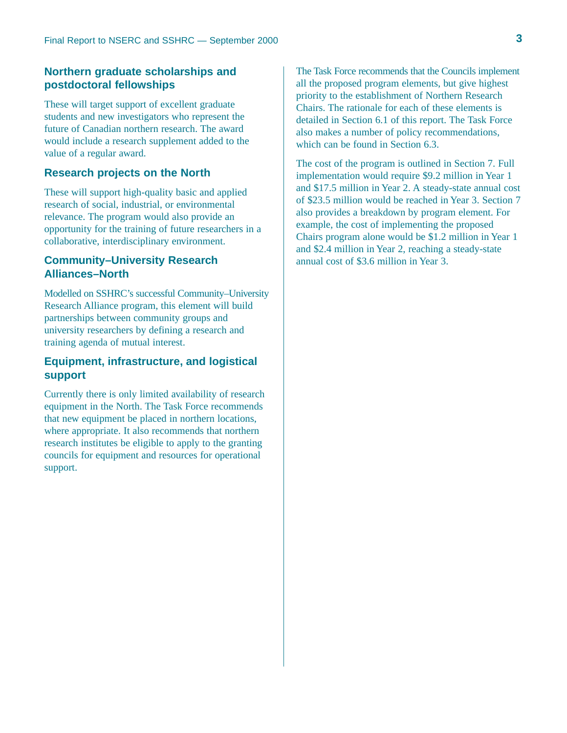### **Northern graduate scholarships and postdoctoral fellowships**

These will target support of excellent graduate students and new investigators who represent the future of Canadian northern research. The award would include a research supplement added to the value of a regular award.

### **Research projects on the North**

These will support high-quality basic and applied research of social, industrial, or environmental relevance. The program would also provide an opportunity for the training of future researchers in a collaborative, interdisciplinary environment.

### **Community–University Research Alliances–North**

Modelled on SSHRC's successful Community–University Research Alliance program, this element will build partnerships between community groups and university researchers by defining a research and training agenda of mutual interest.

### **Equipment, infrastructure, and logistical support**

Currently there is only limited availability of research equipment in the North. The Task Force recommends that new equipment be placed in northern locations, where appropriate. It also recommends that northern research institutes be eligible to apply to the granting councils for equipment and resources for operational support.

The Task Force recommends that the Councils implement all the proposed program elements, but give highest priority to the establishment of Northern Research Chairs. The rationale for each of these elements is detailed in Section 6.1 of this report. The Task Force also makes a number of policy recommendations, which can be found in Section 6.3.

The cost of the program is outlined in Section 7. Full implementation would require \$9.2 million in Year 1 and \$17.5 million in Year 2. A steady-state annual cost of \$23.5 million would be reached in Year 3. Section 7 also provides a breakdown by program element. For example, the cost of implementing the proposed Chairs program alone would be \$1.2 million in Year 1 and \$2.4 million in Year 2, reaching a steady-state annual cost of \$3.6 million in Year 3.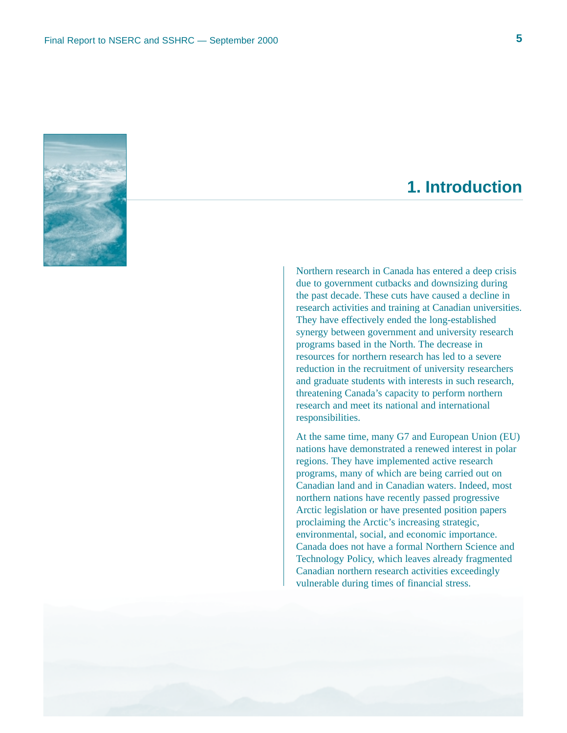

# **1. Introduction**

Northern research in Canada has entered a deep crisis due to government cutbacks and downsizing during the past decade. These cuts have caused a decline in research activities and training at Canadian universities. They have effectively ended the long-established synergy between government and university research programs based in the North. The decrease in resources for northern research has led to a severe reduction in the recruitment of university researchers and graduate students with interests in such research, threatening Canada's capacity to perform northern research and meet its national and international responsibilities.

At the same time, many G7 and European Union (EU) nations have demonstrated a renewed interest in polar regions. They have implemented active research programs, many of which are being carried out on Canadian land and in Canadian waters. Indeed, most northern nations have recently passed progressive Arctic legislation or have presented position papers proclaiming the Arctic's increasing strategic, environmental, social, and economic importance. Canada does not have a formal Northern Science and Technology Policy, which leaves already fragmented Canadian northern research activities exceedingly vulnerable during times of financial stress.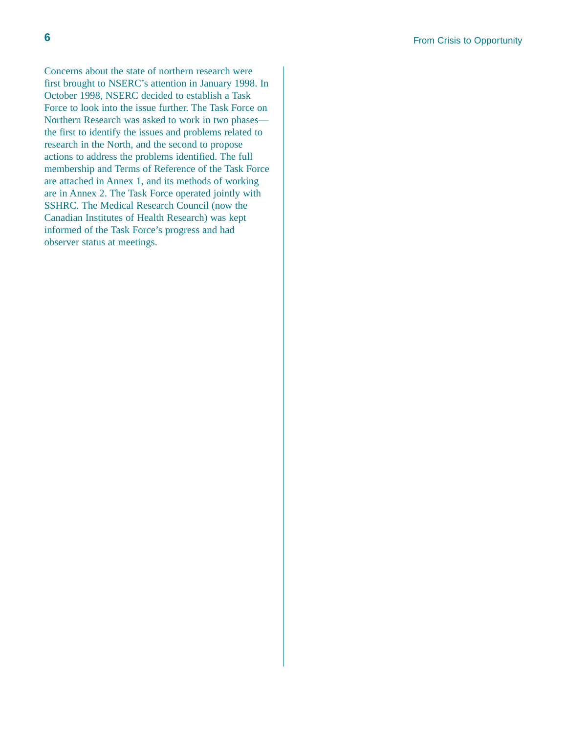Concerns about the state of northern research were first brought to NSERC's attention in January 1998. In October 1998, NSERC decided to establish a Task Force to look into the issue further. The Task Force on Northern Research was asked to work in two phases the first to identify the issues and problems related to research in the North, and the second to propose actions to address the problems identified. The full membership and Terms of Reference of the Task Force are attached in Annex 1, and its methods of working are in Annex 2. The Task Force operated jointly with SSHRC. The Medical Research Council (now the Canadian Institutes of Health Research) was kept informed of the Task Force's progress and had observer status at meetings.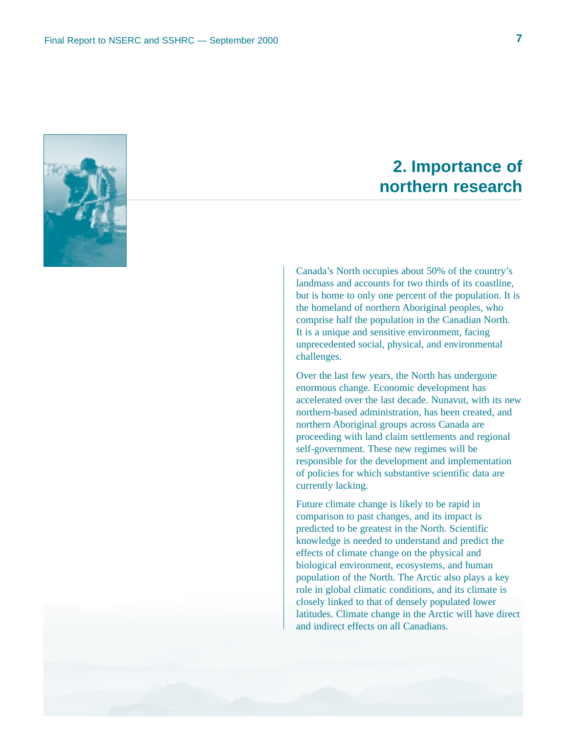

# **2. Importance of northern research**

Canada's North occupies about 50% of the country's landmass and accounts for two thirds of its coastline, but is home to only one percent of the population. It is the homeland of northern Aboriginal peoples, who comprise half the population in the Canadian North. It is a unique and sensitive environment, facing unprecedented social, physical, and environmental challenges.

Over the last few years, the North has undergone enormous change. Economic development has accelerated over the last decade. Nunavut, with its new northern-based administration, has been created, and northern Aboriginal groups across Canada are proceeding with land claim settlements and regional self-government. These new regimes will be responsible for the development and implementation of policies for which substantive scientific data are currently lacking.

Future climate change is likely to be rapid in comparison to past changes, and its impact is predicted to be greatest in the North. Scientific knowledge is needed to understand and predict the effects of climate change on the physical and biological environment, ecosystems, and human population of the North. The Arctic also plays a key role in global climatic conditions, and its climate is closely linked to that of densely populated lower latitudes. Climate change in the Arctic will have direct and indirect effects on all Canadians.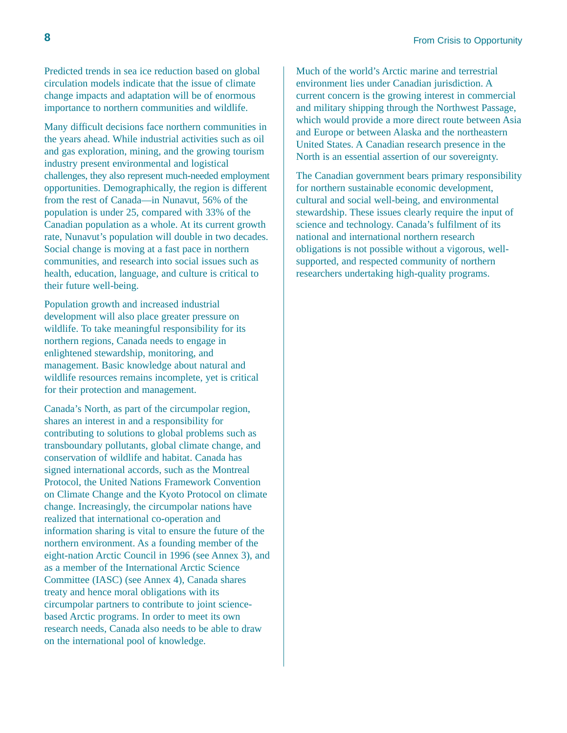**8 8 From Crisis to Opportunity** 

Predicted trends in sea ice reduction based on global circulation models indicate that the issue of climate change impacts and adaptation will be of enormous importance to northern communities and wildlife.

Many difficult decisions face northern communities in the years ahead. While industrial activities such as oil and gas exploration, mining, and the growing tourism industry present environmental and logistical challenges, they also represent much-needed employment opportunities. Demographically, the region is different from the rest of Canada—in Nunavut, 56% of the population is under 25, compared with 33% of the Canadian population as a whole. At its current growth rate, Nunavut's population will double in two decades. Social change is moving at a fast pace in northern communities, and research into social issues such as health, education, language, and culture is critical to their future well-being.

Population growth and increased industrial development will also place greater pressure on wildlife. To take meaningful responsibility for its northern regions, Canada needs to engage in enlightened stewardship, monitoring, and management. Basic knowledge about natural and wildlife resources remains incomplete, yet is critical for their protection and management.

Canada's North, as part of the circumpolar region, shares an interest in and a responsibility for contributing to solutions to global problems such as transboundary pollutants, global climate change, and conservation of wildlife and habitat. Canada has signed international accords, such as the Montreal Protocol, the United Nations Framework Convention on Climate Change and the Kyoto Protocol on climate change. Increasingly, the circumpolar nations have realized that international co-operation and information sharing is vital to ensure the future of the northern environment. As a founding member of the eight-nation Arctic Council in 1996 (see Annex 3), and as a member of the International Arctic Science Committee (IASC) (see Annex 4), Canada shares treaty and hence moral obligations with its circumpolar partners to contribute to joint sciencebased Arctic programs. In order to meet its own research needs, Canada also needs to be able to draw on the international pool of knowledge.

Much of the world's Arctic marine and terrestrial environment lies under Canadian jurisdiction. A current concern is the growing interest in commercial and military shipping through the Northwest Passage, which would provide a more direct route between Asia and Europe or between Alaska and the northeastern United States. A Canadian research presence in the North is an essential assertion of our sovereignty.

The Canadian government bears primary responsibility for northern sustainable economic development, cultural and social well-being, and environmental stewardship. These issues clearly require the input of science and technology. Canada's fulfilment of its national and international northern research obligations is not possible without a vigorous, wellsupported, and respected community of northern researchers undertaking high-quality programs.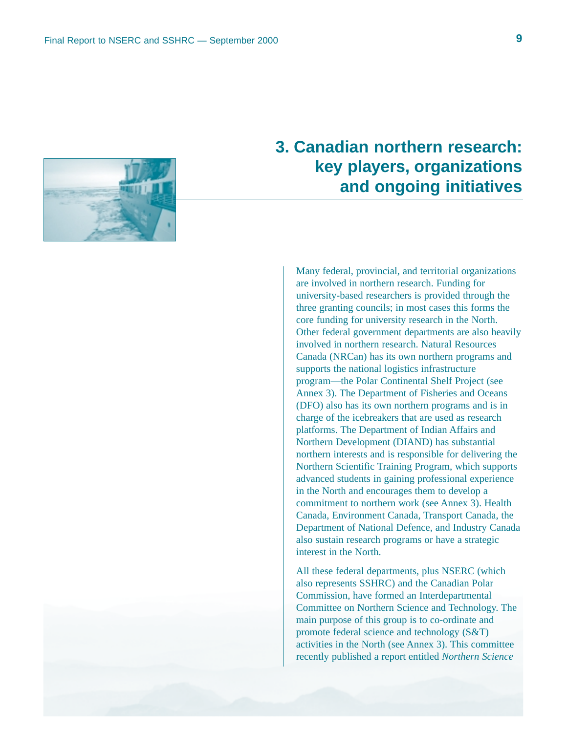

# **3. Canadian northern research: key players, organizations and ongoing initiatives**

Many federal, provincial, and territorial organizations are involved in northern research. Funding for university-based researchers is provided through the three granting councils; in most cases this forms the core funding for university research in the North. Other federal government departments are also heavily involved in northern research. Natural Resources Canada (NRCan) has its own northern programs and supports the national logistics infrastructure program—the Polar Continental Shelf Project (see Annex 3). The Department of Fisheries and Oceans (DFO) also has its own northern programs and is in charge of the icebreakers that are used as research platforms. The Department of Indian Affairs and Northern Development (DIAND) has substantial northern interests and is responsible for delivering the Northern Scientific Training Program, which supports advanced students in gaining professional experience in the North and encourages them to develop a commitment to northern work (see Annex 3). Health Canada, Environment Canada, Transport Canada, the Department of National Defence, and Industry Canada also sustain research programs or have a strategic interest in the North.

All these federal departments, plus NSERC (which also represents SSHRC) and the Canadian Polar Commission, have formed an Interdepartmental Committee on Northern Science and Technology. The main purpose of this group is to co-ordinate and promote federal science and technology (S&T) activities in the North (see Annex 3). This committee recently published a report entitled *Northern Science*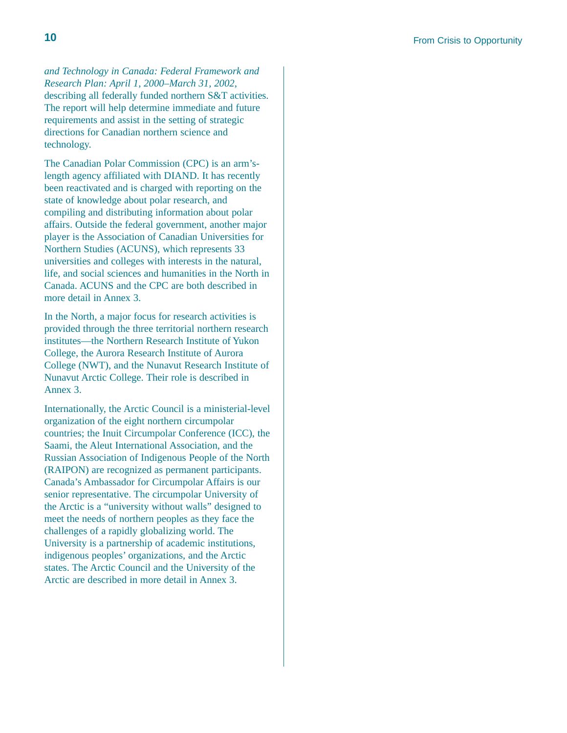*and Technology in Canada: Federal Framework and Research Plan: April 1, 2000–March 31, 2002*, describing all federally funded northern S&T activities. The report will help determine immediate and future requirements and assist in the setting of strategic directions for Canadian northern science and technology.

The Canadian Polar Commission (CPC) is an arm'slength agency affiliated with DIAND. It has recently been reactivated and is charged with reporting on the state of knowledge about polar research, and compiling and distributing information about polar affairs. Outside the federal government, another major player is the Association of Canadian Universities for Northern Studies (ACUNS), which represents 33 universities and colleges with interests in the natural, life, and social sciences and humanities in the North in Canada. ACUNS and the CPC are both described in more detail in Annex 3.

In the North, a major focus for research activities is provided through the three territorial northern research institutes—the Northern Research Institute of Yukon College, the Aurora Research Institute of Aurora College (NWT), and the Nunavut Research Institute of Nunavut Arctic College. Their role is described in Annex 3.

Internationally, the Arctic Council is a ministerial-level organization of the eight northern circumpolar countries; the Inuit Circumpolar Conference (ICC), the Saami, the Aleut International Association, and the Russian Association of Indigenous People of the North (RAIPON) are recognized as permanent participants. Canada's Ambassador for Circumpolar Affairs is our senior representative. The circumpolar University of the Arctic is a "university without walls" designed to meet the needs of northern peoples as they face the challenges of a rapidly globalizing world. The University is a partnership of academic institutions, indigenous peoples' organizations, and the Arctic states. The Arctic Council and the University of the Arctic are described in more detail in Annex 3.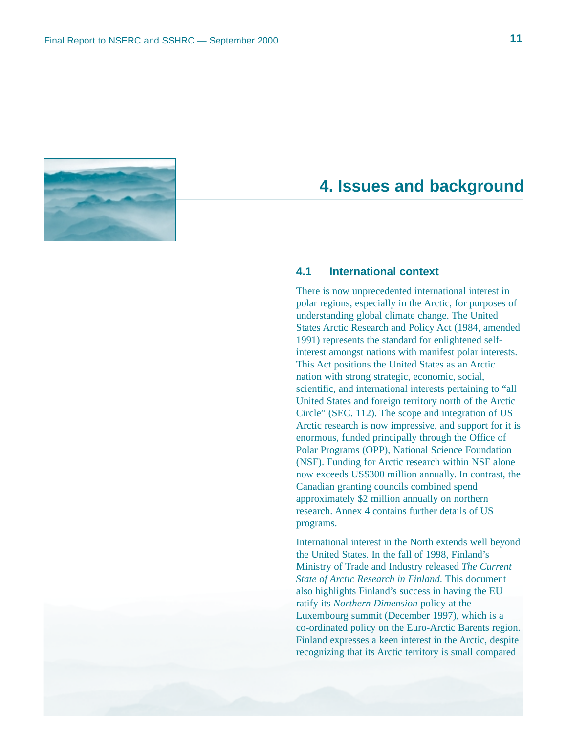

# **4. Issues and background**

### **4.1 International context**

There is now unprecedented international interest in polar regions, especially in the Arctic, for purposes of understanding global climate change. The United States Arctic Research and Policy Act (1984, amended 1991) represents the standard for enlightened selfinterest amongst nations with manifest polar interests. This Act positions the United States as an Arctic nation with strong strategic, economic, social, scientific, and international interests pertaining to "all United States and foreign territory north of the Arctic Circle" (SEC. 112). The scope and integration of US Arctic research is now impressive, and support for it is enormous, funded principally through the Office of Polar Programs (OPP), National Science Foundation (NSF). Funding for Arctic research within NSF alone now exceeds US\$300 million annually. In contrast, the Canadian granting councils combined spend approximately \$2 million annually on northern research. Annex 4 contains further details of US programs.

International interest in the North extends well beyond the United States. In the fall of 1998, Finland's Ministry of Trade and Industry released *The Current State of Arctic Research in Finland*. This document also highlights Finland's success in having the EU ratify its *Northern Dimension* policy at the Luxembourg summit (December 1997), which is a co-ordinated policy on the Euro-Arctic Barents region. Finland expresses a keen interest in the Arctic, despite recognizing that its Arctic territory is small compared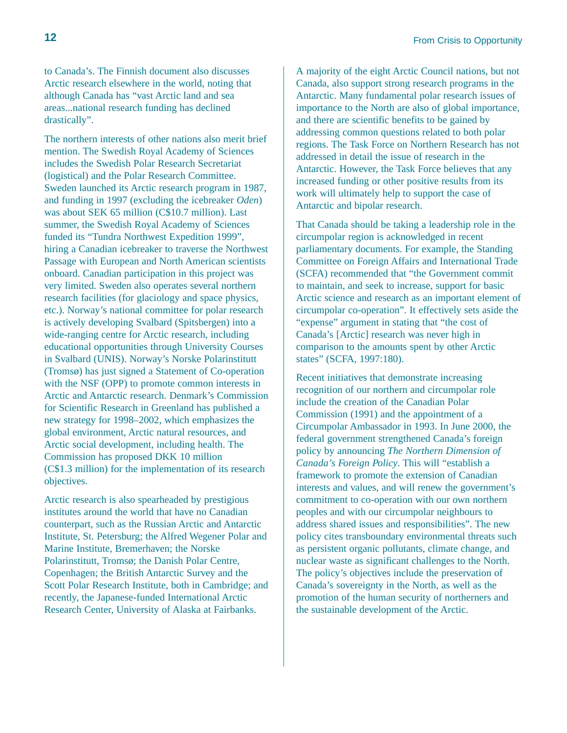to Canada's. The Finnish document also discusses Arctic research elsewhere in the world, noting that although Canada has "vast Arctic land and sea areas...national research funding has declined drastically".

The northern interests of other nations also merit brief mention. The Swedish Royal Academy of Sciences includes the Swedish Polar Research Secretariat (logistical) and the Polar Research Committee. Sweden launched its Arctic research program in 1987, and funding in 1997 (excluding the icebreaker *Oden*) was about SEK 65 million (C\$10.7 million). Last summer, the Swedish Royal Academy of Sciences funded its "Tundra Northwest Expedition 1999", hiring a Canadian icebreaker to traverse the Northwest Passage with European and North American scientists onboard. Canadian participation in this project was very limited. Sweden also operates several northern research facilities (for glaciology and space physics, etc.). Norway's national committee for polar research is actively developing Svalbard (Spitsbergen) into a wide-ranging centre for Arctic research, including educational opportunities through University Courses in Svalbard (UNIS). Norway's Norske Polarinstitutt (Tromsø) has just signed a Statement of Co-operation with the NSF (OPP) to promote common interests in Arctic and Antarctic research. Denmark's Commission for Scientific Research in Greenland has published a new strategy for 1998–2002, which emphasizes the global environment, Arctic natural resources, and Arctic social development, including health. The Commission has proposed DKK 10 million (C\$1.3 million) for the implementation of its research objectives.

Arctic research is also spearheaded by prestigious institutes around the world that have no Canadian counterpart, such as the Russian Arctic and Antarctic Institute, St. Petersburg; the Alfred Wegener Polar and Marine Institute, Bremerhaven; the Norske Polarinstitutt, Tromsø; the Danish Polar Centre, Copenhagen; the British Antarctic Survey and the Scott Polar Research Institute, both in Cambridge; and recently, the Japanese-funded International Arctic Research Center, University of Alaska at Fairbanks.

A majority of the eight Arctic Council nations, but not Canada, also support strong research programs in the Antarctic. Many fundamental polar research issues of importance to the North are also of global importance, and there are scientific benefits to be gained by addressing common questions related to both polar regions. The Task Force on Northern Research has not addressed in detail the issue of research in the Antarctic. However, the Task Force believes that any increased funding or other positive results from its work will ultimately help to support the case of Antarctic and bipolar research.

That Canada should be taking a leadership role in the circumpolar region is acknowledged in recent parliamentary documents. For example, the Standing Committee on Foreign Affairs and International Trade (SCFA) recommended that "the Government commit to maintain, and seek to increase, support for basic Arctic science and research as an important element of circumpolar co-operation". It effectively sets aside the "expense" argument in stating that "the cost of Canada's [Arctic] research was never high in comparison to the amounts spent by other Arctic states" (SCFA, 1997:180).

Recent initiatives that demonstrate increasing recognition of our northern and circumpolar role include the creation of the Canadian Polar Commission (1991) and the appointment of a Circumpolar Ambassador in 1993. In June 2000, the federal government strengthened Canada's foreign policy by announcing *The Northern Dimension of Canada's Foreign Policy*. This will "establish a framework to promote the extension of Canadian interests and values, and will renew the government's commitment to co-operation with our own northern peoples and with our circumpolar neighbours to address shared issues and responsibilities". The new policy cites transboundary environmental threats such as persistent organic pollutants, climate change, and nuclear waste as significant challenges to the North. The policy's objectives include the preservation of Canada's sovereignty in the North, as well as the promotion of the human security of northerners and the sustainable development of the Arctic.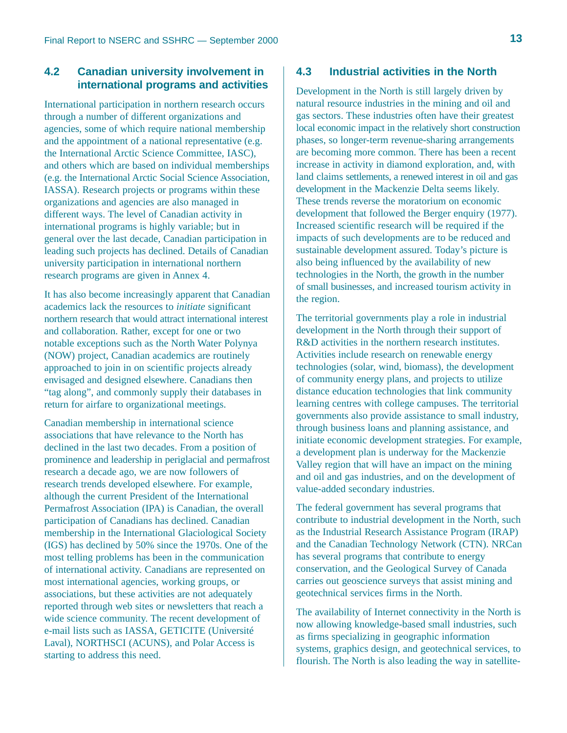### **4.2 Canadian university involvement in international programs and activities**

International participation in northern research occurs through a number of different organizations and agencies, some of which require national membership and the appointment of a national representative (e.g. the International Arctic Science Committee, IASC), and others which are based on individual memberships (e.g. the International Arctic Social Science Association, IASSA). Research projects or programs within these organizations and agencies are also managed in different ways. The level of Canadian activity in international programs is highly variable; but in general over the last decade, Canadian participation in leading such projects has declined. Details of Canadian university participation in international northern research programs are given in Annex 4.

It has also become increasingly apparent that Canadian academics lack the resources to *initiate* significant northern research that would attract international interest and collaboration. Rather, except for one or two notable exceptions such as the North Water Polynya (NOW) project, Canadian academics are routinely approached to join in on scientific projects already envisaged and designed elsewhere. Canadians then "tag along", and commonly supply their databases in return for airfare to organizational meetings.

Canadian membership in international science associations that have relevance to the North has declined in the last two decades. From a position of prominence and leadership in periglacial and permafrost research a decade ago, we are now followers of research trends developed elsewhere. For example, although the current President of the International Permafrost Association (IPA) is Canadian, the overall participation of Canadians has declined. Canadian membership in the International Glaciological Society (IGS) has declined by 50% since the 1970s. One of the most telling problems has been in the communication of international activity. Canadians are represented on most international agencies, working groups, or associations, but these activities are not adequately reported through web sites or newsletters that reach a wide science community. The recent development of e-mail lists such as IASSA, GETICITE (Université Laval), NORTHSCI (ACUNS), and Polar Access is starting to address this need.

### **4.3 Industrial activities in the North**

Development in the North is still largely driven by natural resource industries in the mining and oil and gas sectors. These industries often have their greatest local economic impact in the relatively short construction phases, so longer-term revenue-sharing arrangements are becoming more common. There has been a recent increase in activity in diamond exploration, and, with land claims settlements, a renewed interest in oil and gas development in the Mackenzie Delta seems likely. These trends reverse the moratorium on economic development that followed the Berger enquiry (1977). Increased scientific research will be required if the impacts of such developments are to be reduced and sustainable development assured. Today's picture is also being influenced by the availability of new technologies in the North, the growth in the number of small businesses, and increased tourism activity in the region.

The territorial governments play a role in industrial development in the North through their support of R&D activities in the northern research institutes. Activities include research on renewable energy technologies (solar, wind, biomass), the development of community energy plans, and projects to utilize distance education technologies that link community learning centres with college campuses. The territorial governments also provide assistance to small industry, through business loans and planning assistance, and initiate economic development strategies. For example, a development plan is underway for the Mackenzie Valley region that will have an impact on the mining and oil and gas industries, and on the development of value-added secondary industries.

The federal government has several programs that contribute to industrial development in the North, such as the Industrial Research Assistance Program (IRAP) and the Canadian Technology Network (CTN). NRCan has several programs that contribute to energy conservation, and the Geological Survey of Canada carries out geoscience surveys that assist mining and geotechnical services firms in the North.

The availability of Internet connectivity in the North is now allowing knowledge-based small industries, such as firms specializing in geographic information systems, graphics design, and geotechnical services, to flourish. The North is also leading the way in satellite-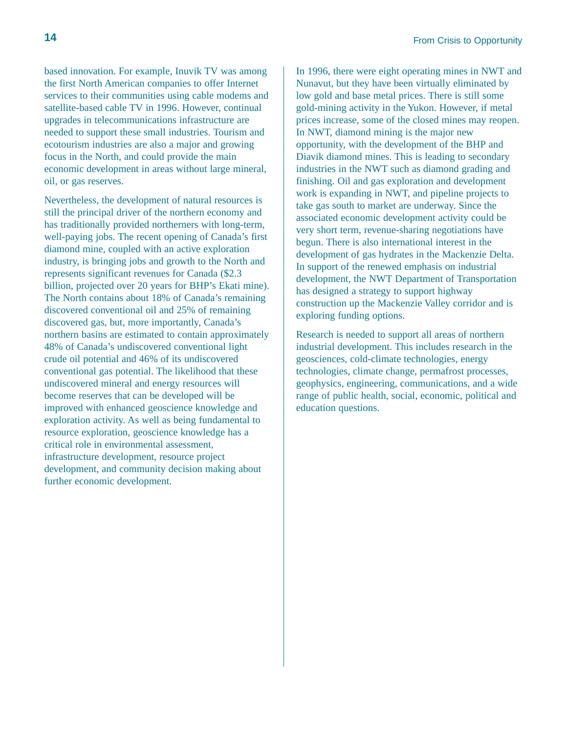based innovation. For example, Inuvik TV was among the first North American companies to offer Internet services to their communities using cable modems and satellite-based cable TV in 1996. However, continual upgrades in telecommunications infrastructure are needed to support these small industries. Tourism and ecotourism industries are also a major and growing focus in the North, and could provide the main economic development in areas without large mineral, oil, or gas reserves.

Nevertheless, the development of natural resources is still the principal driver of the northern economy and has traditionally provided northerners with long-term, well-paying jobs. The recent opening of Canada's first diamond mine, coupled with an active exploration industry, is bringing jobs and growth to the North and represents significant revenues for Canada (\$2.3 billion, projected over 20 years for BHP's Ekati mine). The North contains about 18% of Canada's remaining discovered conventional oil and 25% of remaining discovered gas, but, more importantly, Canada's northern basins are estimated to contain approximately 48% of Canada's undiscovered conventional light crude oil potential and 46% of its undiscovered conventional gas potential. The likelihood that these undiscovered mineral and energy resources will become reserves that can be developed will be improved with enhanced geoscience knowledge and exploration activity. As well as being fundamental to resource exploration, geoscience knowledge has a critical role in environmental assessment, infrastructure development, resource project development, and community decision making about further economic development.

In 1996, there were eight operating mines in NWT and Nunavut, but they have been virtually eliminated by low gold and base metal prices. There is still some gold-mining activity in the Yukon. However, if metal prices increase, some of the closed mines may reopen. In NWT, diamond mining is the major new opportunity, with the development of the BHP and Diavik diamond mines. This is leading to secondary industries in the NWT such as diamond grading and finishing. Oil and gas exploration and development work is expanding in NWT, and pipeline projects to take gas south to market are underway. Since the associated economic development activity could be very short term, revenue-sharing negotiations have begun. There is also international interest in the development of gas hydrates in the Mackenzie Delta. In support of the renewed emphasis on industrial development, the NWT Department of Transportation has designed a strategy to support highway construction up the Mackenzie Valley corridor and is exploring funding options.

Research is needed to support all areas of northern industrial development. This includes research in the geosciences, cold-climate technologies, energy technologies, climate change, permafrost processes, geophysics, engineering, communications, and a wide range of public health, social, economic, political and education questions.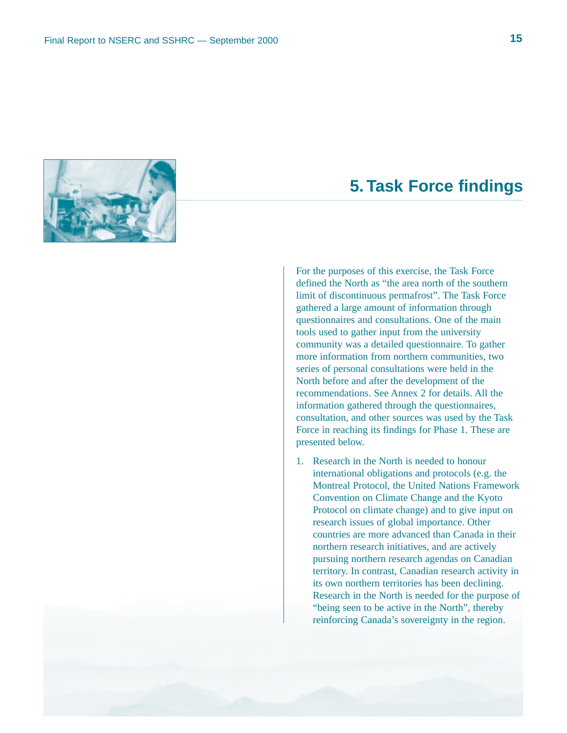

# **5. Task Force findings**

For the purposes of this exercise, the Task Force defined the North as "the area north of the southern limit of discontinuous permafrost". The Task Force gathered a large amount of information through questionnaires and consultations. One of the main tools used to gather input from the university community was a detailed questionnaire. To gather more information from northern communities, two series of personal consultations were held in the North before and after the development of the recommendations. See Annex 2 for details. All the information gathered through the questionnaires, consultation, and other sources was used by the Task Force in reaching its findings for Phase 1. These are presented below.

1. Research in the North is needed to honour international obligations and protocols (e.g. the Montreal Protocol, the United Nations Framework Convention on Climate Change and the Kyoto Protocol on climate change) and to give input on research issues of global importance. Other countries are more advanced than Canada in their northern research initiatives, and are actively pursuing northern research agendas on Canadian territory. In contrast, Canadian research activity in its own northern territories has been declining. Research in the North is needed for the purpose of "being seen to be active in the North", thereby reinforcing Canada's sovereignty in the region.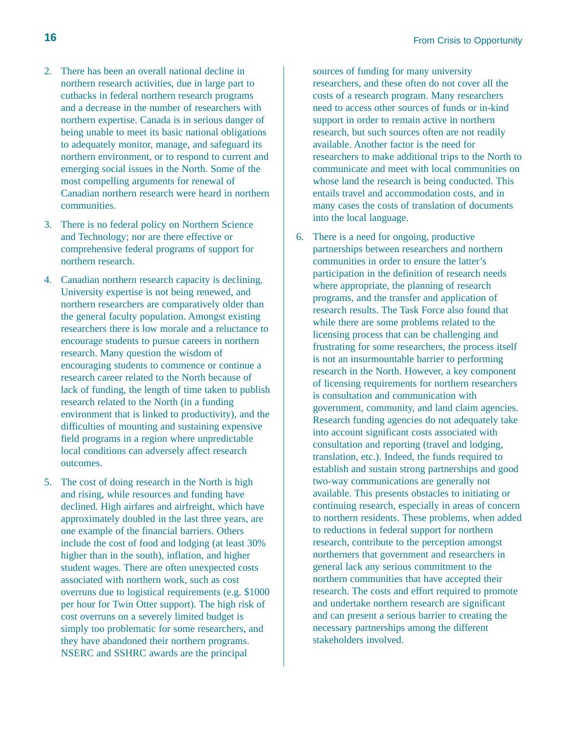- 2. There has been an overall national decline in northern research activities, due in large part to cutbacks in federal northern research programs and a decrease in the number of researchers with northern expertise. Canada is in serious danger of being unable to meet its basic national obligations to adequately monitor, manage, and safeguard its northern environment, or to respond to current and emerging social issues in the North. Some of the most compelling arguments for renewal of Canadian northern research were heard in northern communities.
- 3. There is no federal policy on Northern Science and Technology; nor are there effective or comprehensive federal programs of support for northern research.
- 4. Canadian northern research capacity is declining. University expertise is not being renewed, and northern researchers are comparatively older than the general faculty population. Amongst existing researchers there is low morale and a reluctance to encourage students to pursue careers in northern research. Many question the wisdom of encouraging students to commence or continue a research career related to the North because of lack of funding, the length of time taken to publish research related to the North (in a funding environment that is linked to productivity), and the difficulties of mounting and sustaining expensive field programs in a region where unpredictable local conditions can adversely affect research outcomes.
- 5. The cost of doing research in the North is high and rising, while resources and funding have declined. High airfares and airfreight, which have approximately doubled in the last three years, are one example of the financial barriers. Others include the cost of food and lodging (at least 30% higher than in the south), inflation, and higher student wages. There are often unexpected costs associated with northern work, such as cost overruns due to logistical requirements (e.g. \$1000 per hour for Twin Otter support). The high risk of cost overruns on a severely limited budget is simply too problematic for some researchers, and they have abandoned their northern programs. NSERC and SSHRC awards are the principal

sources of funding for many university researchers, and these often do not cover all the costs of a research program. Many researchers need to access other sources of funds or in-kind support in order to remain active in northern research, but such sources often are not readily available. Another factor is the need for researchers to make additional trips to the North to communicate and meet with local communities on whose land the research is being conducted. This entails travel and accommodation costs, and in many cases the costs of translation of documents into the local language.

6. There is a need for ongoing, productive partnerships between researchers and northern communities in order to ensure the latter's participation in the definition of research needs where appropriate, the planning of research programs, and the transfer and application of research results. The Task Force also found that while there are some problems related to the licensing process that can be challenging and frustrating for some researchers, the process itself is not an insurmountable barrier to performing research in the North. However, a key component of licensing requirements for northern researchers is consultation and communication with government, community, and land claim agencies. Research funding agencies do not adequately take into account significant costs associated with consultation and reporting (travel and lodging, translation, etc.). Indeed, the funds required to establish and sustain strong partnerships and good two-way communications are generally not available. This presents obstacles to initiating or continuing research, especially in areas of concern to northern residents. These problems, when added to reductions in federal support for northern research, contribute to the perception amongst northerners that government and researchers in general lack any serious commitment to the northern communities that have accepted their research. The costs and effort required to promote and undertake northern research are significant and can present a serious barrier to creating the necessary partnerships among the different stakeholders involved.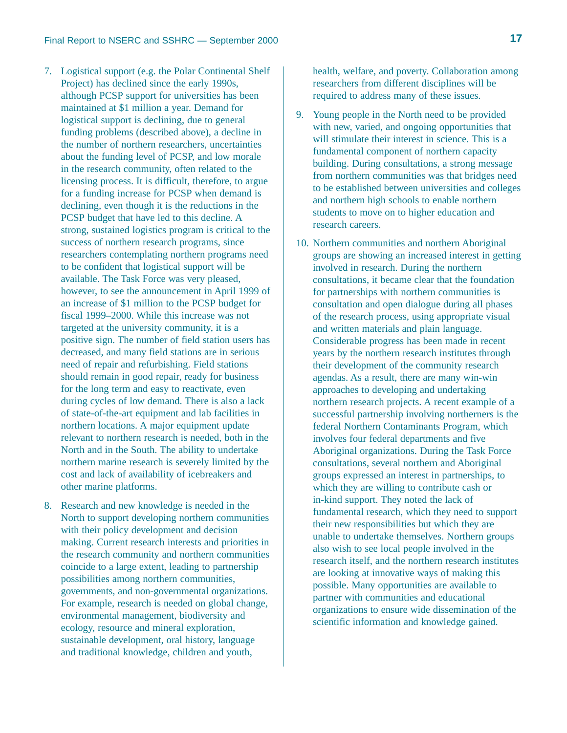- 7. Logistical support (e.g. the Polar Continental Shelf Project) has declined since the early 1990s, although PCSP support for universities has been maintained at \$1 million a year. Demand for logistical support is declining, due to general funding problems (described above), a decline in the number of northern researchers, uncertainties about the funding level of PCSP, and low morale in the research community, often related to the licensing process. It is difficult, therefore, to argue for a funding increase for PCSP when demand is declining, even though it is the reductions in the PCSP budget that have led to this decline. A strong, sustained logistics program is critical to the success of northern research programs, since researchers contemplating northern programs need to be confident that logistical support will be available. The Task Force was very pleased, however, to see the announcement in April 1999 of an increase of \$1 million to the PCSP budget for fiscal 1999–2000. While this increase was not targeted at the university community, it is a positive sign. The number of field station users has decreased, and many field stations are in serious need of repair and refurbishing. Field stations should remain in good repair, ready for business for the long term and easy to reactivate, even during cycles of low demand. There is also a lack of state-of-the-art equipment and lab facilities in northern locations. A major equipment update relevant to northern research is needed, both in the North and in the South. The ability to undertake northern marine research is severely limited by the cost and lack of availability of icebreakers and other marine platforms.
- 8. Research and new knowledge is needed in the North to support developing northern communities with their policy development and decision making. Current research interests and priorities in the research community and northern communities coincide to a large extent, leading to partnership possibilities among northern communities, governments, and non-governmental organizations. For example, research is needed on global change, environmental management, biodiversity and ecology, resource and mineral exploration, sustainable development, oral history, language and traditional knowledge, children and youth,

health, welfare, and poverty. Collaboration among researchers from different disciplines will be required to address many of these issues.

- 9. Young people in the North need to be provided with new, varied, and ongoing opportunities that will stimulate their interest in science. This is a fundamental component of northern capacity building. During consultations, a strong message from northern communities was that bridges need to be established between universities and colleges and northern high schools to enable northern students to move on to higher education and research careers.
- 10. Northern communities and northern Aboriginal groups are showing an increased interest in getting involved in research. During the northern consultations, it became clear that the foundation for partnerships with northern communities is consultation and open dialogue during all phases of the research process, using appropriate visual and written materials and plain language. Considerable progress has been made in recent years by the northern research institutes through their development of the community research agendas. As a result, there are many win-win approaches to developing and undertaking northern research projects. A recent example of a successful partnership involving northerners is the federal Northern Contaminants Program, which involves four federal departments and five Aboriginal organizations. During the Task Force consultations, several northern and Aboriginal groups expressed an interest in partnerships, to which they are willing to contribute cash or in-kind support. They noted the lack of fundamental research, which they need to support their new responsibilities but which they are unable to undertake themselves. Northern groups also wish to see local people involved in the research itself, and the northern research institutes are looking at innovative ways of making this possible. Many opportunities are available to partner with communities and educational organizations to ensure wide dissemination of the scientific information and knowledge gained.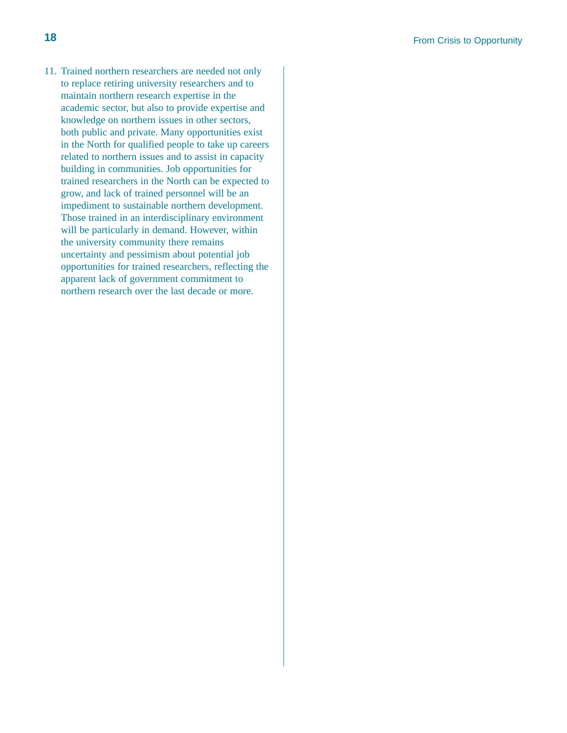11. Trained northern researchers are needed not only to replace retiring university researchers and to maintain northern research expertise in the academic sector, but also to provide expertise and knowledge on northern issues in other sectors, both public and private. Many opportunities exist in the North for qualified people to take up careers related to northern issues and to assist in capacity building in communities. Job opportunities for trained researchers in the North can be expected to grow, and lack of trained personnel will be an impediment to sustainable northern development. Those trained in an interdisciplinary environment will be particularly in demand. However, within the university community there remains uncertainty and pessimism about potential job opportunities for trained researchers, reflecting the apparent lack of government commitment to northern research over the last decade or more.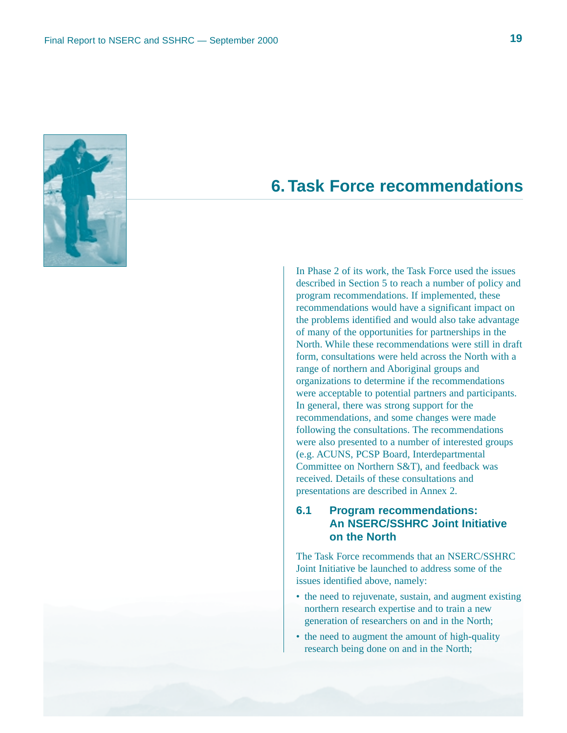

# **6. Task Force recommendations**

In Phase 2 of its work, the Task Force used the issues described in Section 5 to reach a number of policy and program recommendations. If implemented, these recommendations would have a significant impact on the problems identified and would also take advantage of many of the opportunities for partnerships in the North. While these recommendations were still in draft form, consultations were held across the North with a range of northern and Aboriginal groups and organizations to determine if the recommendations were acceptable to potential partners and participants. In general, there was strong support for the recommendations, and some changes were made following the consultations. The recommendations were also presented to a number of interested groups (e.g. ACUNS, PCSP Board, Interdepartmental Committee on Northern S&T), and feedback was received. Details of these consultations and presentations are described in Annex 2.

### **6.1 Program recommendations: An NSERC/SSHRC Joint Initiative on the North**

The Task Force recommends that an NSERC/SSHRC Joint Initiative be launched to address some of the issues identified above, namely:

- the need to rejuvenate, sustain, and augment existing northern research expertise and to train a new generation of researchers on and in the North;
- the need to augment the amount of high-quality research being done on and in the North;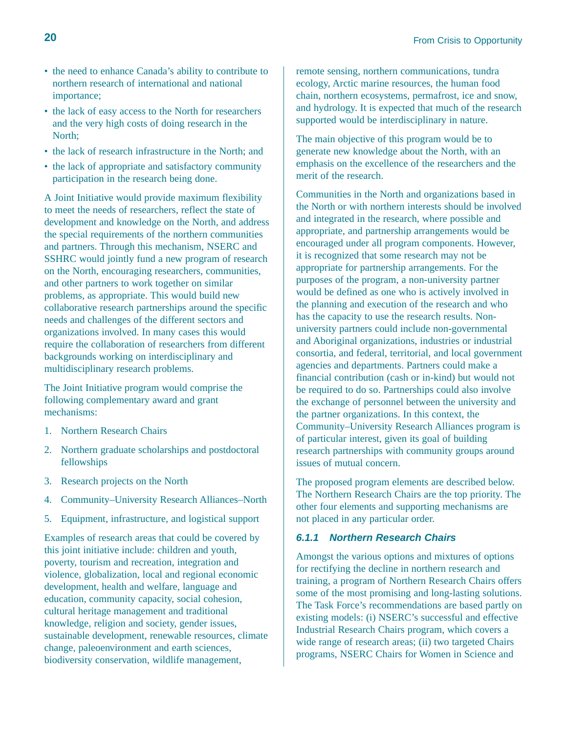- the need to enhance Canada's ability to contribute to northern research of international and national importance;
- the lack of easy access to the North for researchers and the very high costs of doing research in the North;
- the lack of research infrastructure in the North; and
- the lack of appropriate and satisfactory community participation in the research being done.

A Joint Initiative would provide maximum flexibility to meet the needs of researchers, reflect the state of development and knowledge on the North, and address the special requirements of the northern communities and partners. Through this mechanism, NSERC and SSHRC would jointly fund a new program of research on the North, encouraging researchers, communities, and other partners to work together on similar problems, as appropriate. This would build new collaborative research partnerships around the specific needs and challenges of the different sectors and organizations involved. In many cases this would require the collaboration of researchers from different backgrounds working on interdisciplinary and multidisciplinary research problems.

The Joint Initiative program would comprise the following complementary award and grant mechanisms:

- 1. Northern Research Chairs
- 2. Northern graduate scholarships and postdoctoral fellowships
- 3. Research projects on the North
- 4. Community–University Research Alliances–North
- 5. Equipment, infrastructure, and logistical support

Examples of research areas that could be covered by this joint initiative include: children and youth, poverty, tourism and recreation, integration and violence, globalization, local and regional economic development, health and welfare, language and education, community capacity, social cohesion, cultural heritage management and traditional knowledge, religion and society, gender issues, sustainable development, renewable resources, climate change, paleoenvironment and earth sciences, biodiversity conservation, wildlife management,

remote sensing, northern communications, tundra ecology, Arctic marine resources, the human food chain, northern ecosystems, permafrost, ice and snow, and hydrology. It is expected that much of the research supported would be interdisciplinary in nature.

The main objective of this program would be to generate new knowledge about the North, with an emphasis on the excellence of the researchers and the merit of the research.

Communities in the North and organizations based in the North or with northern interests should be involved and integrated in the research, where possible and appropriate, and partnership arrangements would be encouraged under all program components. However, it is recognized that some research may not be appropriate for partnership arrangements. For the purposes of the program, a non-university partner would be defined as one who is actively involved in the planning and execution of the research and who has the capacity to use the research results. Nonuniversity partners could include non-governmental and Aboriginal organizations, industries or industrial consortia, and federal, territorial, and local government agencies and departments. Partners could make a financial contribution (cash or in-kind) but would not be required to do so. Partnerships could also involve the exchange of personnel between the university and the partner organizations. In this context, the Community–University Research Alliances program is of particular interest, given its goal of building research partnerships with community groups around issues of mutual concern.

The proposed program elements are described below. The Northern Research Chairs are the top priority. The other four elements and supporting mechanisms are not placed in any particular order.

### **6.1.1 Northern Research Chairs**

Amongst the various options and mixtures of options for rectifying the decline in northern research and training, a program of Northern Research Chairs offers some of the most promising and long-lasting solutions. The Task Force's recommendations are based partly on existing models: (i) NSERC's successful and effective Industrial Research Chairs program, which covers a wide range of research areas; (ii) two targeted Chairs programs, NSERC Chairs for Women in Science and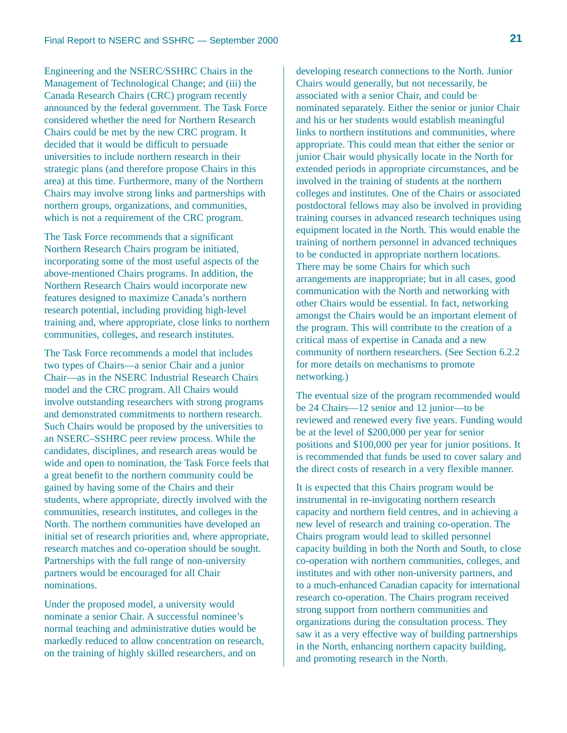Engineering and the NSERC/SSHRC Chairs in the Management of Technological Change; and (iii) the Canada Research Chairs (CRC) program recently announced by the federal government. The Task Force considered whether the need for Northern Research Chairs could be met by the new CRC program. It decided that it would be difficult to persuade universities to include northern research in their strategic plans (and therefore propose Chairs in this area) at this time. Furthermore, many of the Northern Chairs may involve strong links and partnerships with northern groups, organizations, and communities, which is not a requirement of the CRC program.

The Task Force recommends that a significant Northern Research Chairs program be initiated, incorporating some of the most useful aspects of the above-mentioned Chairs programs. In addition, the Northern Research Chairs would incorporate new features designed to maximize Canada's northern research potential, including providing high-level training and, where appropriate, close links to northern communities, colleges, and research institutes.

The Task Force recommends a model that includes two types of Chairs—a senior Chair and a junior Chair—as in the NSERC Industrial Research Chairs model and the CRC program. All Chairs would involve outstanding researchers with strong programs and demonstrated commitments to northern research. Such Chairs would be proposed by the universities to an NSERC–SSHRC peer review process. While the candidates, disciplines, and research areas would be wide and open to nomination, the Task Force feels that a great benefit to the northern community could be gained by having some of the Chairs and their students, where appropriate, directly involved with the communities, research institutes, and colleges in the North. The northern communities have developed an initial set of research priorities and, where appropriate, research matches and co-operation should be sought. Partnerships with the full range of non-university partners would be encouraged for all Chair nominations.

Under the proposed model, a university would nominate a senior Chair. A successful nominee's normal teaching and administrative duties would be markedly reduced to allow concentration on research, on the training of highly skilled researchers, and on

developing research connections to the North. Junior Chairs would generally, but not necessarily, be associated with a senior Chair, and could be nominated separately. Either the senior or junior Chair and his or her students would establish meaningful links to northern institutions and communities, where appropriate. This could mean that either the senior or junior Chair would physically locate in the North for extended periods in appropriate circumstances, and be involved in the training of students at the northern colleges and institutes. One of the Chairs or associated postdoctoral fellows may also be involved in providing training courses in advanced research techniques using equipment located in the North. This would enable the training of northern personnel in advanced techniques to be conducted in appropriate northern locations. There may be some Chairs for which such arrangements are inappropriate; but in all cases, good communication with the North and networking with other Chairs would be essential. In fact, networking amongst the Chairs would be an important element of the program. This will contribute to the creation of a critical mass of expertise in Canada and a new community of northern researchers. (See Section 6.2.2 for more details on mechanisms to promote networking.)

The eventual size of the program recommended would be 24 Chairs—12 senior and 12 junior—to be reviewed and renewed every five years. Funding would be at the level of \$200,000 per year for senior positions and \$100,000 per year for junior positions. It is recommended that funds be used to cover salary and the direct costs of research in a very flexible manner.

It is expected that this Chairs program would be instrumental in re-invigorating northern research capacity and northern field centres, and in achieving a new level of research and training co-operation. The Chairs program would lead to skilled personnel capacity building in both the North and South, to close co-operation with northern communities, colleges, and institutes and with other non-university partners, and to a much-enhanced Canadian capacity for international research co-operation. The Chairs program received strong support from northern communities and organizations during the consultation process. They saw it as a very effective way of building partnerships in the North, enhancing northern capacity building, and promoting research in the North.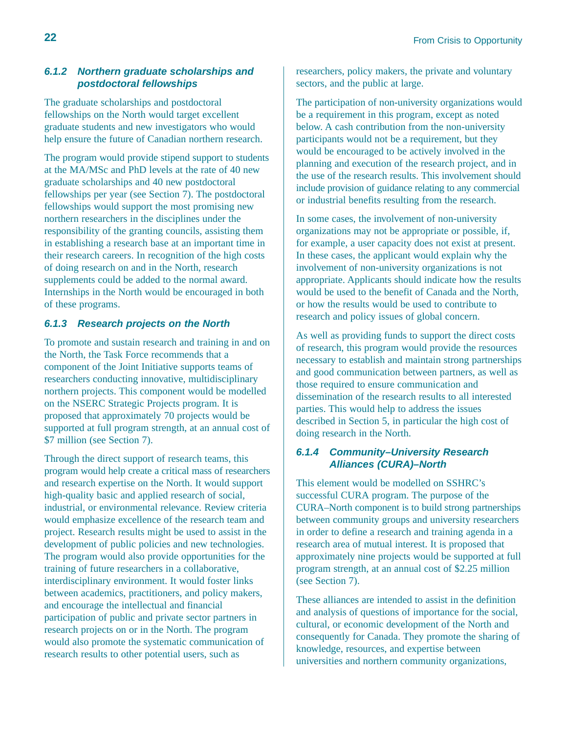### **6.1.2 Northern graduate scholarships and postdoctoral fellowships**

The graduate scholarships and postdoctoral fellowships on the North would target excellent graduate students and new investigators who would help ensure the future of Canadian northern research.

The program would provide stipend support to students at the MA/MSc and PhD levels at the rate of 40 new graduate scholarships and 40 new postdoctoral fellowships per year (see Section 7). The postdoctoral fellowships would support the most promising new northern researchers in the disciplines under the responsibility of the granting councils, assisting them in establishing a research base at an important time in their research careers. In recognition of the high costs of doing research on and in the North, research supplements could be added to the normal award. Internships in the North would be encouraged in both of these programs.

### **6.1.3 Research projects on the North**

To promote and sustain research and training in and on the North, the Task Force recommends that a component of the Joint Initiative supports teams of researchers conducting innovative, multidisciplinary northern projects. This component would be modelled on the NSERC Strategic Projects program. It is proposed that approximately 70 projects would be supported at full program strength, at an annual cost of \$7 million (see Section 7).

Through the direct support of research teams, this program would help create a critical mass of researchers and research expertise on the North. It would support high-quality basic and applied research of social, industrial, or environmental relevance. Review criteria would emphasize excellence of the research team and project. Research results might be used to assist in the development of public policies and new technologies. The program would also provide opportunities for the training of future researchers in a collaborative, interdisciplinary environment. It would foster links between academics, practitioners, and policy makers, and encourage the intellectual and financial participation of public and private sector partners in research projects on or in the North. The program would also promote the systematic communication of research results to other potential users, such as

researchers, policy makers, the private and voluntary sectors, and the public at large.

The participation of non-university organizations would be a requirement in this program, except as noted below. A cash contribution from the non-university participants would not be a requirement, but they would be encouraged to be actively involved in the planning and execution of the research project, and in the use of the research results. This involvement should include provision of guidance relating to any commercial or industrial benefits resulting from the research.

In some cases, the involvement of non-university organizations may not be appropriate or possible, if, for example, a user capacity does not exist at present. In these cases, the applicant would explain why the involvement of non-university organizations is not appropriate. Applicants should indicate how the results would be used to the benefit of Canada and the North, or how the results would be used to contribute to research and policy issues of global concern.

As well as providing funds to support the direct costs of research, this program would provide the resources necessary to establish and maintain strong partnerships and good communication between partners, as well as those required to ensure communication and dissemination of the research results to all interested parties. This would help to address the issues described in Section 5, in particular the high cost of doing research in the North.

### **6.1.4 Community–University Research Alliances (CURA)–North**

This element would be modelled on SSHRC's successful CURA program. The purpose of the CURA–North component is to build strong partnerships between community groups and university researchers in order to define a research and training agenda in a research area of mutual interest. It is proposed that approximately nine projects would be supported at full program strength, at an annual cost of \$2.25 million (see Section 7).

These alliances are intended to assist in the definition and analysis of questions of importance for the social, cultural, or economic development of the North and consequently for Canada. They promote the sharing of knowledge, resources, and expertise between universities and northern community organizations,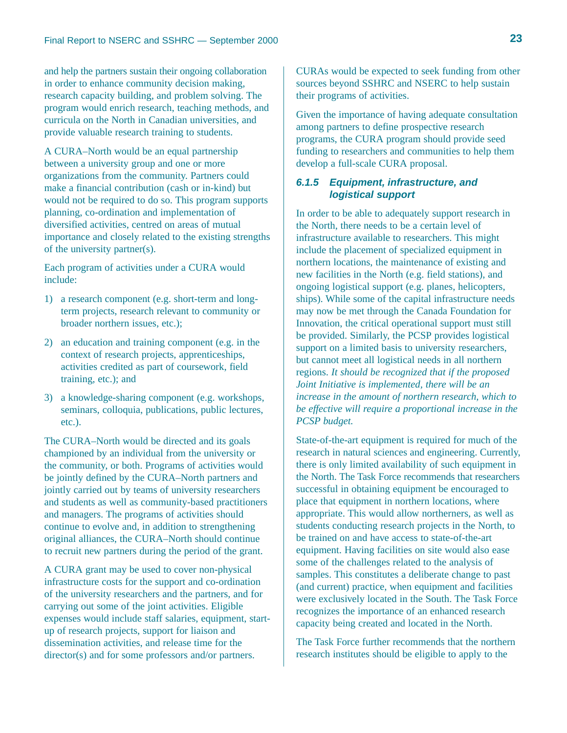and help the partners sustain their ongoing collaboration in order to enhance community decision making, research capacity building, and problem solving. The program would enrich research, teaching methods, and curricula on the North in Canadian universities, and provide valuable research training to students.

A CURA–North would be an equal partnership between a university group and one or more organizations from the community. Partners could make a financial contribution (cash or in-kind) but would not be required to do so. This program supports planning, co-ordination and implementation of diversified activities, centred on areas of mutual importance and closely related to the existing strengths of the university partner(s).

Each program of activities under a CURA would include:

- 1) a research component (e.g. short-term and longterm projects, research relevant to community or broader northern issues, etc.);
- 2) an education and training component (e.g. in the context of research projects, apprenticeships, activities credited as part of coursework, field training, etc.); and
- 3) a knowledge-sharing component (e.g. workshops, seminars, colloquia, publications, public lectures, etc.).

The CURA–North would be directed and its goals championed by an individual from the university or the community, or both. Programs of activities would be jointly defined by the CURA–North partners and jointly carried out by teams of university researchers and students as well as community-based practitioners and managers. The programs of activities should continue to evolve and, in addition to strengthening original alliances, the CURA–North should continue to recruit new partners during the period of the grant.

A CURA grant may be used to cover non-physical infrastructure costs for the support and co-ordination of the university researchers and the partners, and for carrying out some of the joint activities. Eligible expenses would include staff salaries, equipment, startup of research projects, support for liaison and dissemination activities, and release time for the director(s) and for some professors and/or partners.

CURAs would be expected to seek funding from other sources beyond SSHRC and NSERC to help sustain their programs of activities.

Given the importance of having adequate consultation among partners to define prospective research programs, the CURA program should provide seed funding to researchers and communities to help them develop a full-scale CURA proposal.

### **6.1.5 Equipment, infrastructure, and logistical support**

In order to be able to adequately support research in the North, there needs to be a certain level of infrastructure available to researchers. This might include the placement of specialized equipment in northern locations, the maintenance of existing and new facilities in the North (e.g. field stations), and ongoing logistical support (e.g. planes, helicopters, ships). While some of the capital infrastructure needs may now be met through the Canada Foundation for Innovation, the critical operational support must still be provided. Similarly, the PCSP provides logistical support on a limited basis to university researchers, but cannot meet all logistical needs in all northern regions. *It should be recognized that if the proposed Joint Initiative is implemented, there will be an increase in the amount of northern research, which to be effective will require a proportional increase in the PCSP budget.* 

State-of-the-art equipment is required for much of the research in natural sciences and engineering. Currently, there is only limited availability of such equipment in the North. The Task Force recommends that researchers successful in obtaining equipment be encouraged to place that equipment in northern locations, where appropriate. This would allow northerners, as well as students conducting research projects in the North, to be trained on and have access to state-of-the-art equipment. Having facilities on site would also ease some of the challenges related to the analysis of samples. This constitutes a deliberate change to past (and current) practice, when equipment and facilities were exclusively located in the South. The Task Force recognizes the importance of an enhanced research capacity being created and located in the North.

The Task Force further recommends that the northern research institutes should be eligible to apply to the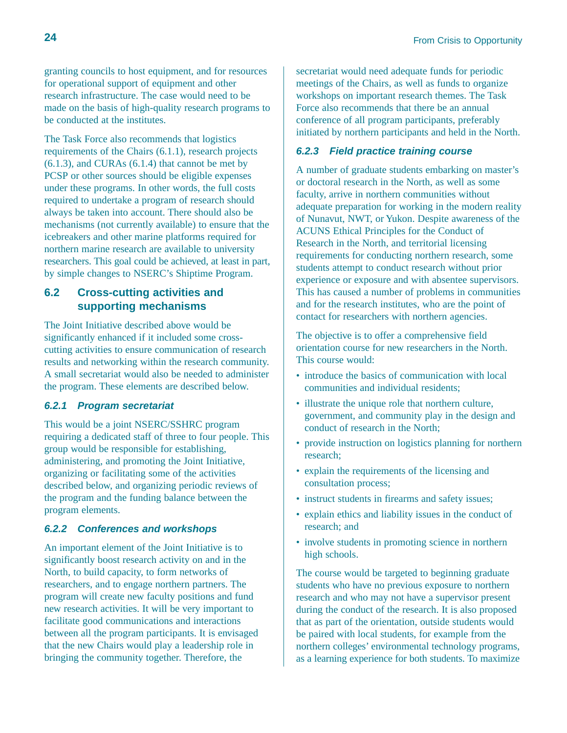granting councils to host equipment, and for resources for operational support of equipment and other research infrastructure. The case would need to be made on the basis of high-quality research programs to be conducted at the institutes.

The Task Force also recommends that logistics requirements of the Chairs (6.1.1), research projects (6.1.3), and CURAs (6.1.4) that cannot be met by PCSP or other sources should be eligible expenses under these programs. In other words, the full costs required to undertake a program of research should always be taken into account. There should also be mechanisms (not currently available) to ensure that the icebreakers and other marine platforms required for northern marine research are available to university researchers. This goal could be achieved, at least in part, by simple changes to NSERC's Shiptime Program.

### **6.2 Cross-cutting activities and supporting mechanisms**

The Joint Initiative described above would be significantly enhanced if it included some crosscutting activities to ensure communication of research results and networking within the research community. A small secretariat would also be needed to administer the program. These elements are described below.

### **6.2.1 Program secretariat**

This would be a joint NSERC/SSHRC program requiring a dedicated staff of three to four people. This group would be responsible for establishing, administering, and promoting the Joint Initiative, organizing or facilitating some of the activities described below, and organizing periodic reviews of the program and the funding balance between the program elements.

### **6.2.2 Conferences and workshops**

An important element of the Joint Initiative is to significantly boost research activity on and in the North, to build capacity, to form networks of researchers, and to engage northern partners. The program will create new faculty positions and fund new research activities. It will be very important to facilitate good communications and interactions between all the program participants. It is envisaged that the new Chairs would play a leadership role in bringing the community together. Therefore, the

secretariat would need adequate funds for periodic meetings of the Chairs, as well as funds to organize workshops on important research themes. The Task Force also recommends that there be an annual conference of all program participants, preferably initiated by northern participants and held in the North.

### **6.2.3 Field practice training course**

A number of graduate students embarking on master's or doctoral research in the North, as well as some faculty, arrive in northern communities without adequate preparation for working in the modern reality of Nunavut, NWT, or Yukon. Despite awareness of the ACUNS Ethical Principles for the Conduct of Research in the North, and territorial licensing requirements for conducting northern research, some students attempt to conduct research without prior experience or exposure and with absentee supervisors. This has caused a number of problems in communities and for the research institutes, who are the point of contact for researchers with northern agencies.

The objective is to offer a comprehensive field orientation course for new researchers in the North. This course would:

- introduce the basics of communication with local communities and individual residents;
- illustrate the unique role that northern culture, government, and community play in the design and conduct of research in the North;
- provide instruction on logistics planning for northern research;
- explain the requirements of the licensing and consultation process;
- instruct students in firearms and safety issues;
- explain ethics and liability issues in the conduct of research; and
- involve students in promoting science in northern high schools.

The course would be targeted to beginning graduate students who have no previous exposure to northern research and who may not have a supervisor present during the conduct of the research. It is also proposed that as part of the orientation, outside students would be paired with local students, for example from the northern colleges' environmental technology programs, as a learning experience for both students. To maximize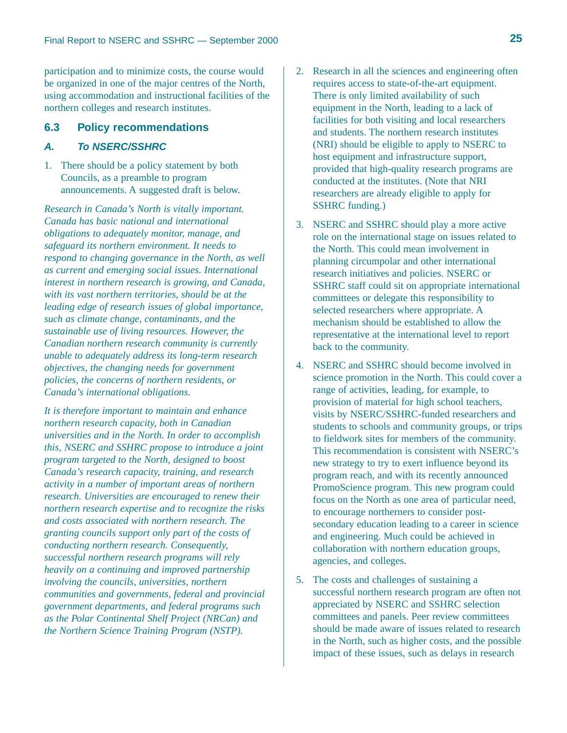participation and to minimize costs, the course would be organized in one of the major centres of the North, using accommodation and instructional facilities of the northern colleges and research institutes.

### **6.3 Policy recommendations**

### **A. To NSERC/SSHRC**

1. There should be a policy statement by both Councils, as a preamble to program announcements. A suggested draft is below.

*Research in Canada's North is vitally important. Canada has basic national and international obligations to adequately monitor, manage, and safeguard its northern environment. It needs to respond to changing governance in the North, as well as current and emerging social issues. International interest in northern research is growing, and Canada, with its vast northern territories, should be at the leading edge of research issues of global importance, such as climate change, contaminants, and the sustainable use of living resources. However, the Canadian northern research community is currently unable to adequately address its long-term research objectives, the changing needs for government policies, the concerns of northern residents, or Canada's international obligations.*

*It is therefore important to maintain and enhance northern research capacity, both in Canadian universities and in the North. In order to accomplish this, NSERC and SSHRC propose to introduce a joint program targeted to the North, designed to boost Canada's research capacity, training, and research activity in a number of important areas of northern research. Universities are encouraged to renew their northern research expertise and to recognize the risks and costs associated with northern research. The granting councils support only part of the costs of conducting northern research. Consequently, successful northern research programs will rely heavily on a continuing and improved partnership involving the councils, universities, northern communities and governments, federal and provincial government departments, and federal programs such as the Polar Continental Shelf Project (NRCan) and the Northern Science Training Program (NSTP).* 

- 2. Research in all the sciences and engineering often requires access to state-of-the-art equipment. There is only limited availability of such equipment in the North, leading to a lack of facilities for both visiting and local researchers and students. The northern research institutes (NRI) should be eligible to apply to NSERC to host equipment and infrastructure support, provided that high-quality research programs are conducted at the institutes. (Note that NRI researchers are already eligible to apply for SSHRC funding.)
- 3. NSERC and SSHRC should play a more active role on the international stage on issues related to the North. This could mean involvement in planning circumpolar and other international research initiatives and policies. NSERC or SSHRC staff could sit on appropriate international committees or delegate this responsibility to selected researchers where appropriate. A mechanism should be established to allow the representative at the international level to report back to the community.
- 4. NSERC and SSHRC should become involved in science promotion in the North. This could cover a range of activities, leading, for example, to provision of material for high school teachers, visits by NSERC/SSHRC-funded researchers and students to schools and community groups, or trips to fieldwork sites for members of the community. This recommendation is consistent with NSERC's new strategy to try to exert influence beyond its program reach, and with its recently announced PromoScience program. This new program could focus on the North as one area of particular need, to encourage northerners to consider postsecondary education leading to a career in science and engineering. Much could be achieved in collaboration with northern education groups, agencies, and colleges.
- 5. The costs and challenges of sustaining a successful northern research program are often not appreciated by NSERC and SSHRC selection committees and panels. Peer review committees should be made aware of issues related to research in the North, such as higher costs, and the possible impact of these issues, such as delays in research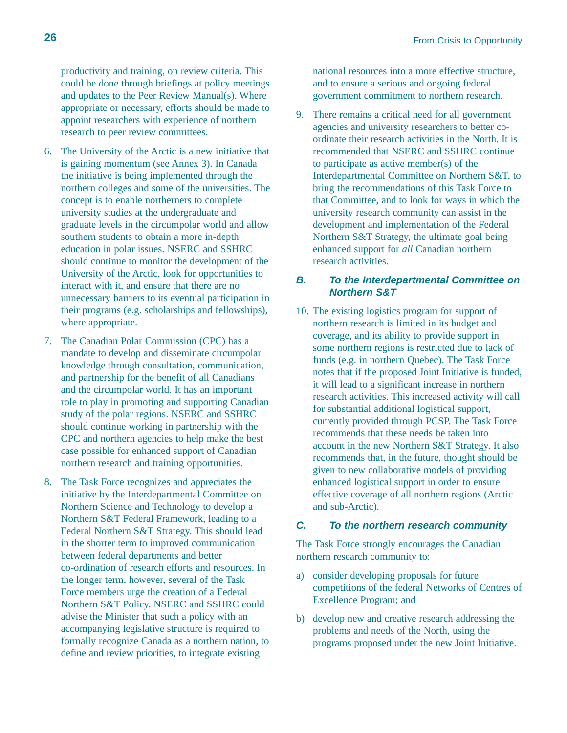productivity and training, on review criteria. This could be done through briefings at policy meetings and updates to the Peer Review Manual(s). Where appropriate or necessary, efforts should be made to appoint researchers with experience of northern research to peer review committees.

- 6. The University of the Arctic is a new initiative that is gaining momentum (see Annex 3). In Canada the initiative is being implemented through the northern colleges and some of the universities. The concept is to enable northerners to complete university studies at the undergraduate and graduate levels in the circumpolar world and allow southern students to obtain a more in-depth education in polar issues. NSERC and SSHRC should continue to monitor the development of the University of the Arctic, look for opportunities to interact with it, and ensure that there are no unnecessary barriers to its eventual participation in their programs (e.g. scholarships and fellowships), where appropriate.
- 7. The Canadian Polar Commission (CPC) has a mandate to develop and disseminate circumpolar knowledge through consultation, communication, and partnership for the benefit of all Canadians and the circumpolar world. It has an important role to play in promoting and supporting Canadian study of the polar regions. NSERC and SSHRC should continue working in partnership with the CPC and northern agencies to help make the best case possible for enhanced support of Canadian northern research and training opportunities.
- 8. The Task Force recognizes and appreciates the initiative by the Interdepartmental Committee on Northern Science and Technology to develop a Northern S&T Federal Framework, leading to a Federal Northern S&T Strategy. This should lead in the shorter term to improved communication between federal departments and better co-ordination of research efforts and resources. In the longer term, however, several of the Task Force members urge the creation of a Federal Northern S&T Policy. NSERC and SSHRC could advise the Minister that such a policy with an accompanying legislative structure is required to formally recognize Canada as a northern nation, to define and review priorities, to integrate existing

national resources into a more effective structure, and to ensure a serious and ongoing federal government commitment to northern research.

9. There remains a critical need for all government agencies and university researchers to better coordinate their research activities in the North. It is recommended that NSERC and SSHRC continue to participate as active member(s) of the Interdepartmental Committee on Northern S&T, to bring the recommendations of this Task Force to that Committee, and to look for ways in which the university research community can assist in the development and implementation of the Federal Northern S&T Strategy, the ultimate goal being enhanced support for *all* Canadian northern research activities.

### **B. To the Interdepartmental Committee on Northern S&T**

10. The existing logistics program for support of northern research is limited in its budget and coverage, and its ability to provide support in some northern regions is restricted due to lack of funds (e.g. in northern Quebec). The Task Force notes that if the proposed Joint Initiative is funded, it will lead to a significant increase in northern research activities. This increased activity will call for substantial additional logistical support, currently provided through PCSP. The Task Force recommends that these needs be taken into account in the new Northern S&T Strategy. It also recommends that, in the future, thought should be given to new collaborative models of providing enhanced logistical support in order to ensure effective coverage of all northern regions (Arctic and sub-Arctic).

### **C. To the northern research community**

The Task Force strongly encourages the Canadian northern research community to:

- a) consider developing proposals for future competitions of the federal Networks of Centres of Excellence Program; and
- b) develop new and creative research addressing the problems and needs of the North, using the programs proposed under the new Joint Initiative.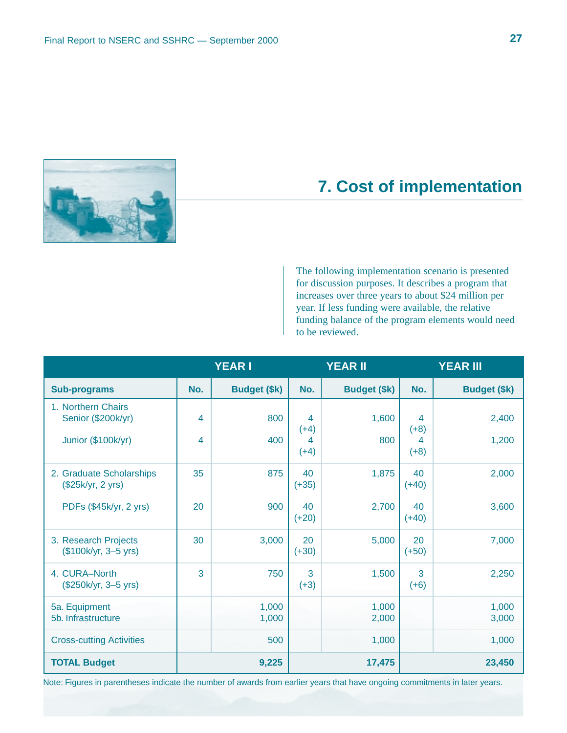

# **7. Cost of implementation**

The following implementation scenario is presented for discussion purposes. It describes a program that increases over three years to about \$24 million per year. If less funding were available, the relative funding balance of the program elements would need to be reviewed.

|                                               |     | <b>YEAR I</b>       |               | <b>YEAR II</b>      |               | <b>YEAR III</b>     |
|-----------------------------------------------|-----|---------------------|---------------|---------------------|---------------|---------------------|
| <b>Sub-programs</b>                           | No. | <b>Budget (\$k)</b> | No.           | <b>Budget (\$k)</b> | No.           | <b>Budget (\$k)</b> |
| 1. Northern Chairs<br>Senior (\$200k/yr)      | 4   | 800                 | 4<br>$(+4)$   | 1,600               | 4<br>$(+8)$   | 2,400               |
| Junior (\$100k/yr)                            | 4   | 400                 | 4<br>$(+4)$   | 800                 | 4<br>$(+8)$   | 1,200               |
| 2. Graduate Scholarships<br>(\$25k/yr, 2 yrs) | 35  | 875                 | 40<br>$(+35)$ | 1,875               | 40<br>$(+40)$ | 2,000               |
| PDFs (\$45k/yr, 2 yrs)                        | 20  | 900                 | 40<br>$(+20)$ | 2,700               | 40<br>$(+40)$ | 3,600               |
| 3. Research Projects<br>(\$100k/yr, 3-5 yrs)  | 30  | 3,000               | 20<br>$(+30)$ | 5,000               | 20<br>$(+50)$ | 7,000               |
| 4. CURA-North<br>(\$250k/yr, 3-5 yrs)         | 3   | 750                 | 3<br>$(+3)$   | 1,500               | 3<br>$(+6)$   | 2,250               |
| 5a. Equipment<br>5b. Infrastructure           |     | 1,000<br>1,000      |               | 1,000<br>2,000      |               | 1,000<br>3,000      |
| <b>Cross-cutting Activities</b>               |     | 500                 |               | 1,000               |               | 1,000               |
| <b>TOTAL Budget</b>                           |     | 9,225               |               | 17,475              |               | 23,450              |

Note: Figures in parentheses indicate the number of awards from earlier years that have ongoing commitments in later years.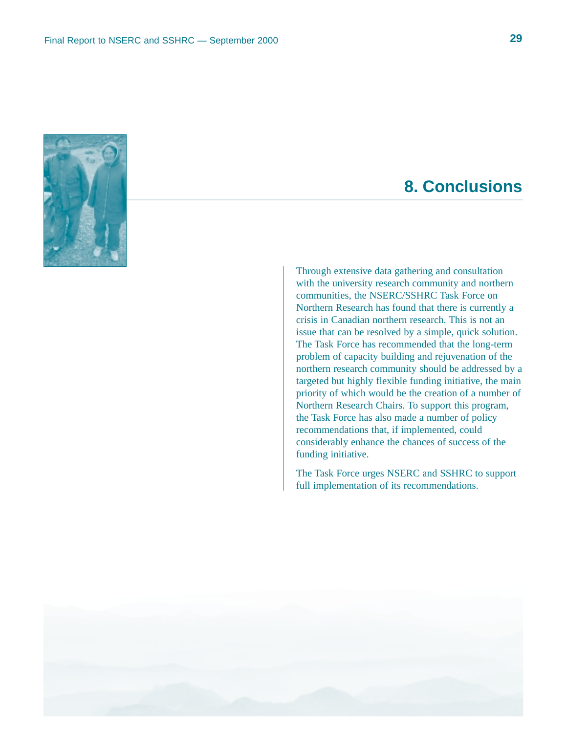

# **8. Conclusions**

Through extensive data gathering and consultation with the university research community and northern communities, the NSERC/SSHRC Task Force on Northern Research has found that there is currently a crisis in Canadian northern research. This is not an issue that can be resolved by a simple, quick solution. The Task Force has recommended that the long-term problem of capacity building and rejuvenation of the northern research community should be addressed by a targeted but highly flexible funding initiative, the main priority of which would be the creation of a number of Northern Research Chairs. To support this program, the Task Force has also made a number of policy recommendations that, if implemented, could considerably enhance the chances of success of the funding initiative.

The Task Force urges NSERC and SSHRC to support full implementation of its recommendations.

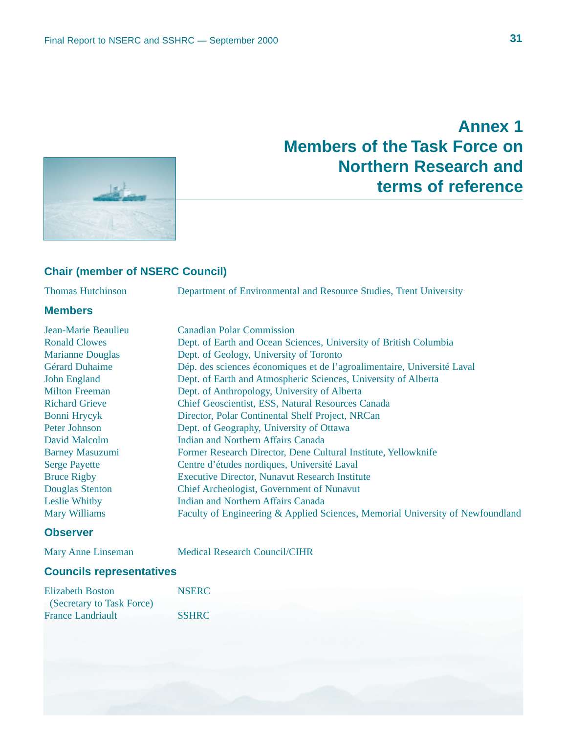# **Annex 1 Members of the Task Force on Northern Research and terms of reference**



### **Chair (member of NSERC Council)**

Thomas Hutchinson Department of Environmental and Resource Studies, Trent University

### **Members**

| Jean-Marie Beaulieu     | <b>Canadian Polar Commission</b>                                               |
|-------------------------|--------------------------------------------------------------------------------|
| <b>Ronald Clowes</b>    | Dept. of Earth and Ocean Sciences, University of British Columbia              |
| <b>Marianne Douglas</b> | Dept. of Geology, University of Toronto                                        |
| Gérard Duhaime          | Dép. des sciences économiques et de l'agroalimentaire, Université Laval        |
| <b>John England</b>     | Dept. of Earth and Atmospheric Sciences, University of Alberta                 |
| <b>Milton Freeman</b>   | Dept. of Anthropology, University of Alberta                                   |
| <b>Richard Grieve</b>   | Chief Geoscientist, ESS, Natural Resources Canada                              |
| Bonni Hrycyk            | Director, Polar Continental Shelf Project, NRCan                               |
| Peter Johnson           | Dept. of Geography, University of Ottawa                                       |
| David Malcolm           | Indian and Northern Affairs Canada                                             |
| <b>Barney Masuzumi</b>  | Former Research Director, Dene Cultural Institute, Yellowknife                 |
| <b>Serge Payette</b>    | Centre d'études nordiques, Université Laval                                    |
| <b>Bruce Rigby</b>      | <b>Executive Director, Nunavut Research Institute</b>                          |
| Douglas Stenton         | Chief Archeologist, Government of Nunavut                                      |
| Leslie Whitby           | Indian and Northern Affairs Canada                                             |
| <b>Mary Williams</b>    | Faculty of Engineering & Applied Sciences, Memorial University of Newfoundland |

### **Observer**

Mary Anne Linseman Medical Research Council/CIHR

### **Councils representatives**

| <b>Elizabeth Boston</b>   | <b>NSERC</b> |  |  |
|---------------------------|--------------|--|--|
| (Secretary to Task Force) |              |  |  |
| <b>France Landriault</b>  | <b>SSHRC</b> |  |  |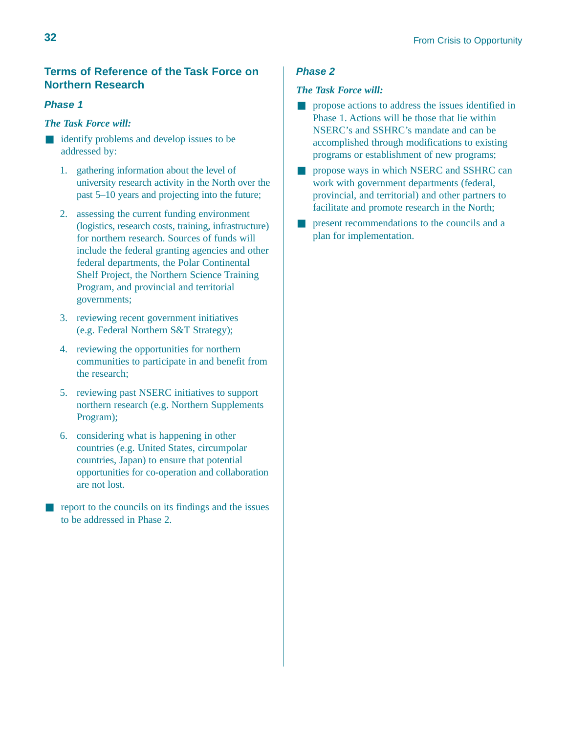### **Terms of Reference of the Task Force on Northern Research**

### **Phase 1**

### *The Task Force will:*

- identify problems and develop issues to be addressed by:
	- 1. gathering information about the level of university research activity in the North over the past 5–10 years and projecting into the future;
	- 2. assessing the current funding environment (logistics, research costs, training, infrastructure) for northern research. Sources of funds will include the federal granting agencies and other federal departments, the Polar Continental Shelf Project, the Northern Science Training Program, and provincial and territorial governments;
	- 3. reviewing recent government initiatives (e.g. Federal Northern S&T Strategy);
	- 4. reviewing the opportunities for northern communities to participate in and benefit from the research;
	- 5. reviewing past NSERC initiatives to support northern research (e.g. Northern Supplements Program);
	- 6. considering what is happening in other countries (e.g. United States, circumpolar countries, Japan) to ensure that potential opportunities for co-operation and collaboration are not lost.
- report to the councils on its findings and the issues to be addressed in Phase 2.

### **Phase 2**

### *The Task Force will:*

- propose actions to address the issues identified in Phase 1. Actions will be those that lie within NSERC's and SSHRC's mandate and can be accomplished through modifications to existing programs or establishment of new programs;
- propose ways in which NSERC and SSHRC can work with government departments (federal, provincial, and territorial) and other partners to facilitate and promote research in the North;
- present recommendations to the councils and a plan for implementation.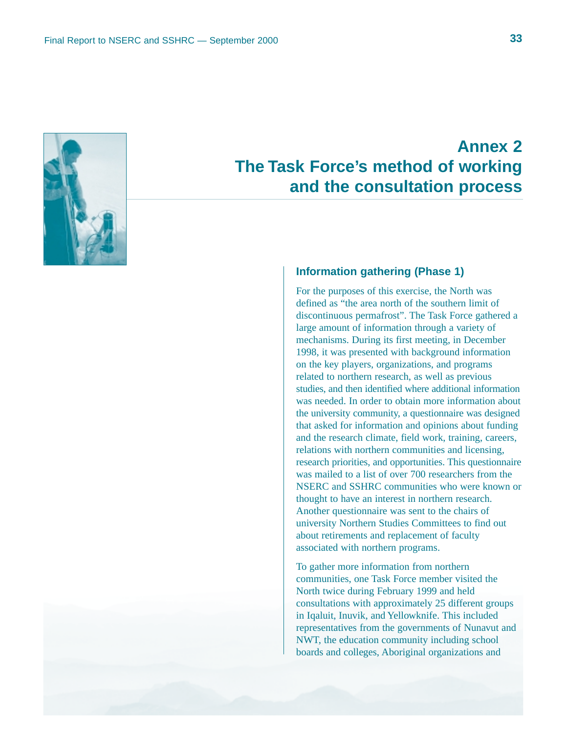

# **Annex 2 The Task Force's method of working and the consultation process**

### **Information gathering (Phase 1)**

For the purposes of this exercise, the North was defined as "the area north of the southern limit of discontinuous permafrost". The Task Force gathered a large amount of information through a variety of mechanisms. During its first meeting, in December 1998, it was presented with background information on the key players, organizations, and programs related to northern research, as well as previous studies, and then identified where additional information was needed. In order to obtain more information about the university community, a questionnaire was designed that asked for information and opinions about funding and the research climate, field work, training, careers, relations with northern communities and licensing, research priorities, and opportunities. This questionnaire was mailed to a list of over 700 researchers from the NSERC and SSHRC communities who were known or thought to have an interest in northern research. Another questionnaire was sent to the chairs of university Northern Studies Committees to find out about retirements and replacement of faculty associated with northern programs.

To gather more information from northern communities, one Task Force member visited the North twice during February 1999 and held consultations with approximately 25 different groups in Iqaluit, Inuvik, and Yellowknife. This included representatives from the governments of Nunavut and NWT, the education community including school boards and colleges, Aboriginal organizations and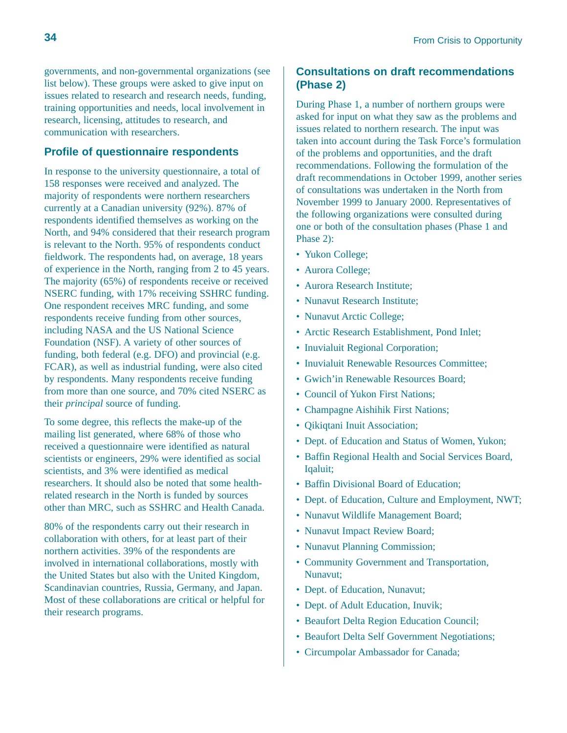governments, and non-governmental organizations (see list below). These groups were asked to give input on issues related to research and research needs, funding, training opportunities and needs, local involvement in research, licensing, attitudes to research, and communication with researchers.

### **Profile of questionnaire respondents**

In response to the university questionnaire, a total of 158 responses were received and analyzed. The majority of respondents were northern researchers currently at a Canadian university (92%). 87% of respondents identified themselves as working on the North, and 94% considered that their research program is relevant to the North. 95% of respondents conduct fieldwork. The respondents had, on average, 18 years of experience in the North, ranging from 2 to 45 years. The majority (65%) of respondents receive or received NSERC funding, with 17% receiving SSHRC funding. One respondent receives MRC funding, and some respondents receive funding from other sources, including NASA and the US National Science Foundation (NSF). A variety of other sources of funding, both federal (e.g. DFO) and provincial (e.g. FCAR), as well as industrial funding, were also cited by respondents. Many respondents receive funding from more than one source, and 70% cited NSERC as their *principal* source of funding.

To some degree, this reflects the make-up of the mailing list generated, where 68% of those who received a questionnaire were identified as natural scientists or engineers, 29% were identified as social scientists, and 3% were identified as medical researchers. It should also be noted that some healthrelated research in the North is funded by sources other than MRC, such as SSHRC and Health Canada.

80% of the respondents carry out their research in collaboration with others, for at least part of their northern activities. 39% of the respondents are involved in international collaborations, mostly with the United States but also with the United Kingdom, Scandinavian countries, Russia, Germany, and Japan. Most of these collaborations are critical or helpful for their research programs.

### **Consultations on draft recommendations (Phase 2)**

During Phase 1, a number of northern groups were asked for input on what they saw as the problems and issues related to northern research. The input was taken into account during the Task Force's formulation of the problems and opportunities, and the draft recommendations. Following the formulation of the draft recommendations in October 1999, another series of consultations was undertaken in the North from November 1999 to January 2000. Representatives of the following organizations were consulted during one or both of the consultation phases (Phase 1 and Phase 2):

- Yukon College;
- Aurora College;
- Aurora Research Institute;
- Nunavut Research Institute;
- Nunavut Arctic College;
- Arctic Research Establishment, Pond Inlet;
- Inuvialuit Regional Corporation;
- Inuvialuit Renewable Resources Committee;
- Gwich'in Renewable Resources Board;
- Council of Yukon First Nations;
- Champagne Aishihik First Nations;
- Qikiqtani Inuit Association;
- Dept. of Education and Status of Women, Yukon;
- Baffin Regional Health and Social Services Board, Iqaluit;
- Baffin Divisional Board of Education;
- Dept. of Education, Culture and Employment, NWT;
- Nunavut Wildlife Management Board;
- Nunavut Impact Review Board;
- Nunavut Planning Commission;
- Community Government and Transportation, Nunavut;
- Dept. of Education, Nunavut;
- Dept. of Adult Education, Inuvik;
- Beaufort Delta Region Education Council;
- Beaufort Delta Self Government Negotiations;
- Circumpolar Ambassador for Canada;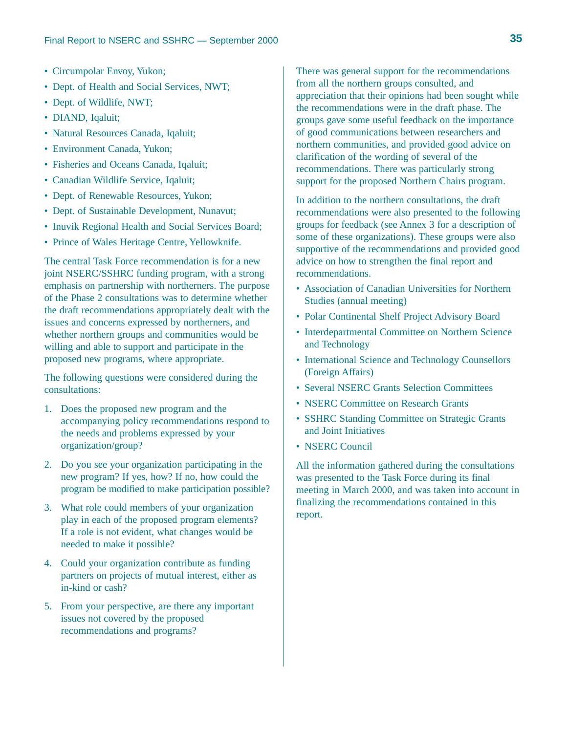- Circumpolar Envoy, Yukon;
- Dept. of Health and Social Services, NWT;
- Dept. of Wildlife, NWT;
- DIAND, Iqaluit;
- Natural Resources Canada, Iqaluit;
- Environment Canada, Yukon;
- Fisheries and Oceans Canada, Iqaluit;
- Canadian Wildlife Service, Iqaluit;
- Dept. of Renewable Resources, Yukon;
- Dept. of Sustainable Development, Nunavut;
- Inuvik Regional Health and Social Services Board;
- Prince of Wales Heritage Centre, Yellowknife.

The central Task Force recommendation is for a new joint NSERC/SSHRC funding program, with a strong emphasis on partnership with northerners. The purpose of the Phase 2 consultations was to determine whether the draft recommendations appropriately dealt with the issues and concerns expressed by northerners, and whether northern groups and communities would be willing and able to support and participate in the proposed new programs, where appropriate.

The following questions were considered during the consultations:

- 1. Does the proposed new program and the accompanying policy recommendations respond to the needs and problems expressed by your organization/group?
- 2. Do you see your organization participating in the new program? If yes, how? If no, how could the program be modified to make participation possible?
- 3. What role could members of your organization play in each of the proposed program elements? If a role is not evident, what changes would be needed to make it possible?
- 4. Could your organization contribute as funding partners on projects of mutual interest, either as in-kind or cash?
- 5. From your perspective, are there any important issues not covered by the proposed recommendations and programs?

There was general support for the recommendations from all the northern groups consulted, and appreciation that their opinions had been sought while the recommendations were in the draft phase. The groups gave some useful feedback on the importance of good communications between researchers and northern communities, and provided good advice on clarification of the wording of several of the recommendations. There was particularly strong support for the proposed Northern Chairs program.

In addition to the northern consultations, the draft recommendations were also presented to the following groups for feedback (see Annex 3 for a description of some of these organizations). These groups were also supportive of the recommendations and provided good advice on how to strengthen the final report and recommendations.

- Association of Canadian Universities for Northern Studies (annual meeting)
- Polar Continental Shelf Project Advisory Board
- Interdepartmental Committee on Northern Science and Technology
- International Science and Technology Counsellors (Foreign Affairs)
- Several NSERC Grants Selection Committees
- NSERC Committee on Research Grants
- SSHRC Standing Committee on Strategic Grants and Joint Initiatives
- NSERC Council

All the information gathered during the consultations was presented to the Task Force during its final meeting in March 2000, and was taken into account in finalizing the recommendations contained in this report.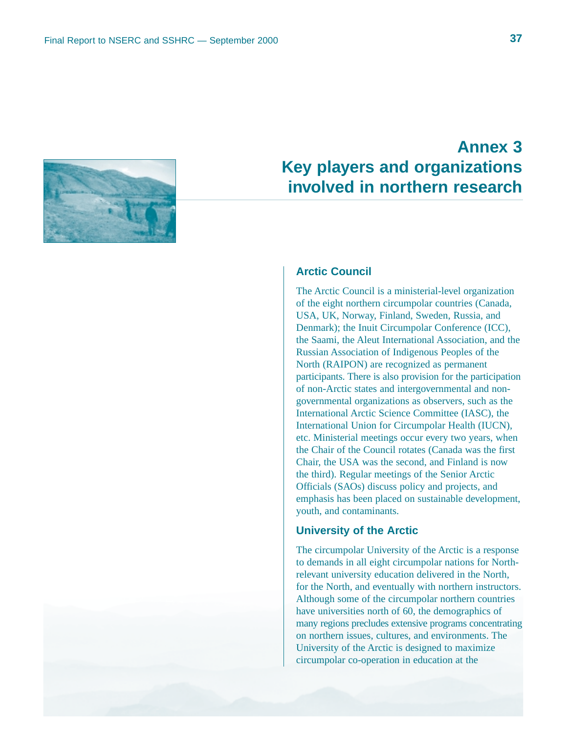

# **Annex 3 Key players and organizations involved in northern research**

### **Arctic Council**

The Arctic Council is a ministerial-level organization of the eight northern circumpolar countries (Canada, USA, UK, Norway, Finland, Sweden, Russia, and Denmark); the Inuit Circumpolar Conference (ICC), the Saami, the Aleut International Association, and the Russian Association of Indigenous Peoples of the North (RAIPON) are recognized as permanent participants. There is also provision for the participation of non-Arctic states and intergovernmental and nongovernmental organizations as observers, such as the International Arctic Science Committee (IASC), the International Union for Circumpolar Health (IUCN), etc. Ministerial meetings occur every two years, when the Chair of the Council rotates (Canada was the first Chair, the USA was the second, and Finland is now the third). Regular meetings of the Senior Arctic Officials (SAOs) discuss policy and projects, and emphasis has been placed on sustainable development, youth, and contaminants.

### **University of the Arctic**

The circumpolar University of the Arctic is a response to demands in all eight circumpolar nations for Northrelevant university education delivered in the North, for the North, and eventually with northern instructors. Although some of the circumpolar northern countries have universities north of 60, the demographics of many regions precludes extensive programs concentrating on northern issues, cultures, and environments. The University of the Arctic is designed to maximize circumpolar co-operation in education at the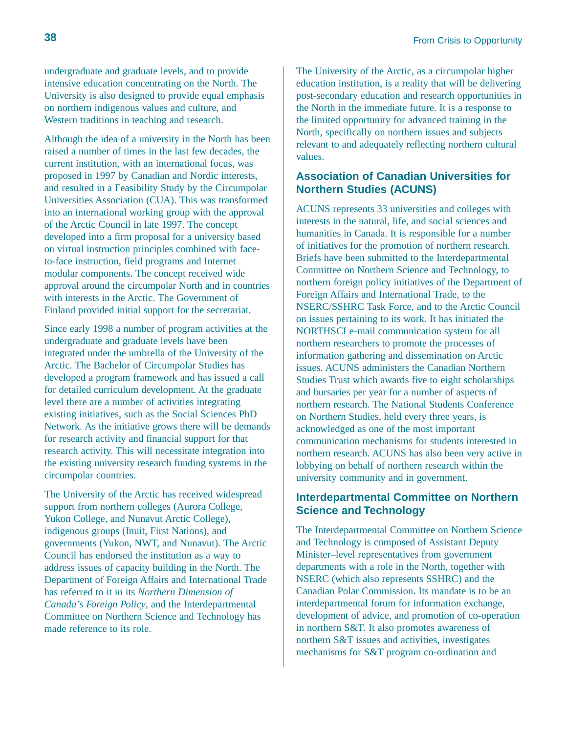undergraduate and graduate levels, and to provide intensive education concentrating on the North. The University is also designed to provide equal emphasis on northern indigenous values and culture, and Western traditions in teaching and research.

Although the idea of a university in the North has been raised a number of times in the last few decades, the current institution, with an international focus, was proposed in 1997 by Canadian and Nordic interests, and resulted in a Feasibility Study by the Circumpolar Universities Association (CUA). This was transformed into an international working group with the approval of the Arctic Council in late 1997. The concept developed into a firm proposal for a university based on virtual instruction principles combined with faceto-face instruction, field programs and Internet modular components. The concept received wide approval around the circumpolar North and in countries with interests in the Arctic. The Government of Finland provided initial support for the secretariat.

Since early 1998 a number of program activities at the undergraduate and graduate levels have been integrated under the umbrella of the University of the Arctic. The Bachelor of Circumpolar Studies has developed a program framework and has issued a call for detailed curriculum development. At the graduate level there are a number of activities integrating existing initiatives, such as the Social Sciences PhD Network. As the initiative grows there will be demands for research activity and financial support for that research activity. This will necessitate integration into the existing university research funding systems in the circumpolar countries.

The University of the Arctic has received widespread support from northern colleges (Aurora College, Yukon College, and Nunavut Arctic College), indigenous groups (Inuit, First Nations), and governments (Yukon, NWT, and Nunavut). The Arctic Council has endorsed the institution as a way to address issues of capacity building in the North. The Department of Foreign Affairs and International Trade has referred to it in its *Northern Dimension of Canada's Foreign Policy*, and the Interdepartmental Committee on Northern Science and Technology has made reference to its role.

The University of the Arctic, as a circumpolar higher education institution, is a reality that will be delivering post-secondary education and research opportunities in the North in the immediate future. It is a response to the limited opportunity for advanced training in the North, specifically on northern issues and subjects relevant to and adequately reflecting northern cultural values.

### **Association of Canadian Universities for Northern Studies (ACUNS)**

ACUNS represents 33 universities and colleges with interests in the natural, life, and social sciences and humanities in Canada. It is responsible for a number of initiatives for the promotion of northern research. Briefs have been submitted to the Interdepartmental Committee on Northern Science and Technology, to northern foreign policy initiatives of the Department of Foreign Affairs and International Trade, to the NSERC/SSHRC Task Force, and to the Arctic Council on issues pertaining to its work. It has initiated the NORTHSCI e-mail communication system for all northern researchers to promote the processes of information gathering and dissemination on Arctic issues. ACUNS administers the Canadian Northern Studies Trust which awards five to eight scholarships and bursaries per year for a number of aspects of northern research. The National Students Conference on Northern Studies, held every three years, is acknowledged as one of the most important communication mechanisms for students interested in northern research. ACUNS has also been very active in lobbying on behalf of northern research within the university community and in government.

### **Interdepartmental Committee on Northern Science and Technology**

The Interdepartmental Committee on Northern Science and Technology is composed of Assistant Deputy Minister–level representatives from government departments with a role in the North, together with NSERC (which also represents SSHRC) and the Canadian Polar Commission. Its mandate is to be an interdepartmental forum for information exchange, development of advice, and promotion of co-operation in northern S&T. It also promotes awareness of northern S&T issues and activities, investigates mechanisms for S&T program co-ordination and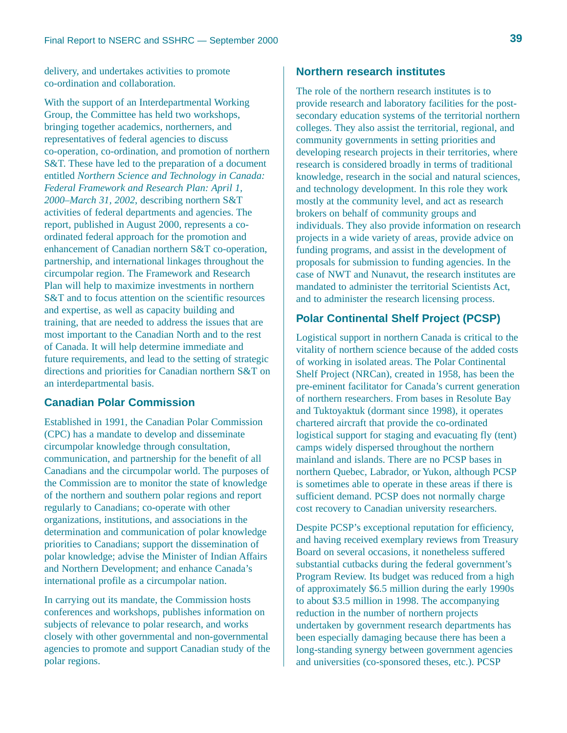delivery, and undertakes activities to promote co-ordination and collaboration.

With the support of an Interdepartmental Working Group, the Committee has held two workshops, bringing together academics, northerners, and representatives of federal agencies to discuss co-operation, co-ordination, and promotion of northern S&T. These have led to the preparation of a document entitled *Northern Science and Technology in Canada: Federal Framework and Research Plan: April 1, 2000–March 31, 2002*, describing northern S&T activities of federal departments and agencies. The report, published in August 2000, represents a coordinated federal approach for the promotion and enhancement of Canadian northern S&T co-operation, partnership, and international linkages throughout the circumpolar region. The Framework and Research Plan will help to maximize investments in northern S&T and to focus attention on the scientific resources and expertise, as well as capacity building and training, that are needed to address the issues that are most important to the Canadian North and to the rest of Canada. It will help determine immediate and future requirements, and lead to the setting of strategic directions and priorities for Canadian northern S&T on an interdepartmental basis.

### **Canadian Polar Commission**

Established in 1991, the Canadian Polar Commission (CPC) has a mandate to develop and disseminate circumpolar knowledge through consultation, communication, and partnership for the benefit of all Canadians and the circumpolar world. The purposes of the Commission are to monitor the state of knowledge of the northern and southern polar regions and report regularly to Canadians; co-operate with other organizations, institutions, and associations in the determination and communication of polar knowledge priorities to Canadians; support the dissemination of polar knowledge; advise the Minister of Indian Affairs and Northern Development; and enhance Canada's international profile as a circumpolar nation.

In carrying out its mandate, the Commission hosts conferences and workshops, publishes information on subjects of relevance to polar research, and works closely with other governmental and non-governmental agencies to promote and support Canadian study of the polar regions.

### **Northern research institutes**

The role of the northern research institutes is to provide research and laboratory facilities for the postsecondary education systems of the territorial northern colleges. They also assist the territorial, regional, and community governments in setting priorities and developing research projects in their territories, where research is considered broadly in terms of traditional knowledge, research in the social and natural sciences, and technology development. In this role they work mostly at the community level, and act as research brokers on behalf of community groups and individuals. They also provide information on research projects in a wide variety of areas, provide advice on funding programs, and assist in the development of proposals for submission to funding agencies. In the case of NWT and Nunavut, the research institutes are mandated to administer the territorial Scientists Act, and to administer the research licensing process.

### **Polar Continental Shelf Project (PCSP)**

Logistical support in northern Canada is critical to the vitality of northern science because of the added costs of working in isolated areas. The Polar Continental Shelf Project (NRCan), created in 1958, has been the pre-eminent facilitator for Canada's current generation of northern researchers. From bases in Resolute Bay and Tuktoyaktuk (dormant since 1998), it operates chartered aircraft that provide the co-ordinated logistical support for staging and evacuating fly (tent) camps widely dispersed throughout the northern mainland and islands. There are no PCSP bases in northern Quebec, Labrador, or Yukon, although PCSP is sometimes able to operate in these areas if there is sufficient demand. PCSP does not normally charge cost recovery to Canadian university researchers.

Despite PCSP's exceptional reputation for efficiency, and having received exemplary reviews from Treasury Board on several occasions, it nonetheless suffered substantial cutbacks during the federal government's Program Review. Its budget was reduced from a high of approximately \$6.5 million during the early 1990s to about \$3.5 million in 1998. The accompanying reduction in the number of northern projects undertaken by government research departments has been especially damaging because there has been a long-standing synergy between government agencies and universities (co-sponsored theses, etc.). PCSP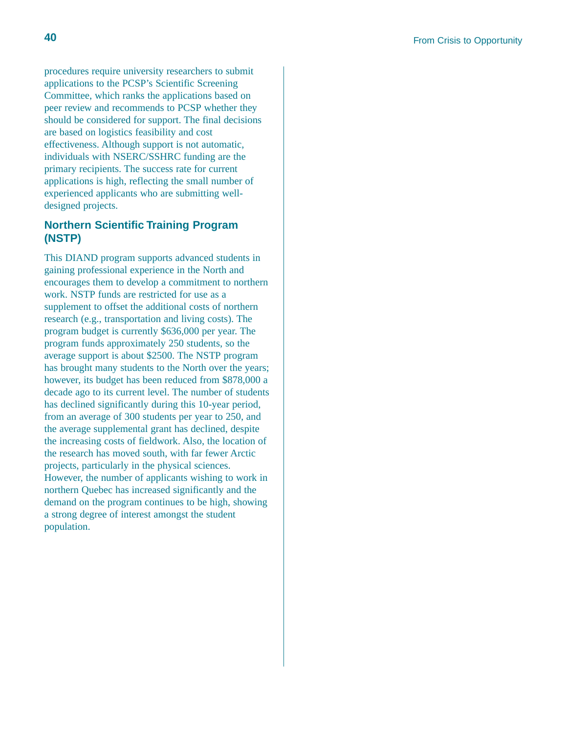procedures require university researchers to submit applications to the PCSP's Scientific Screening Committee, which ranks the applications based on peer review and recommends to PCSP whether they should be considered for support. The final decisions are based on logistics feasibility and cost effectiveness. Although support is not automatic, individuals with NSERC/SSHRC funding are the primary recipients. The success rate for current applications is high, reflecting the small number of experienced applicants who are submitting welldesigned projects.

### **Northern Scientific Training Program (NSTP)**

This DIAND program supports advanced students in gaining professional experience in the North and encourages them to develop a commitment to northern work. NSTP funds are restricted for use as a supplement to offset the additional costs of northern research (e.g., transportation and living costs). The program budget is currently \$636,000 per year. The program funds approximately 250 students, so the average support is about \$2500. The NSTP program has brought many students to the North over the years; however, its budget has been reduced from \$878,000 a decade ago to its current level. The number of students has declined significantly during this 10-year period, from an average of 300 students per year to 250, and the average supplemental grant has declined, despite the increasing costs of fieldwork. Also, the location of the research has moved south, with far fewer Arctic projects, particularly in the physical sciences. However, the number of applicants wishing to work in northern Quebec has increased significantly and the demand on the program continues to be high, showing a strong degree of interest amongst the student population.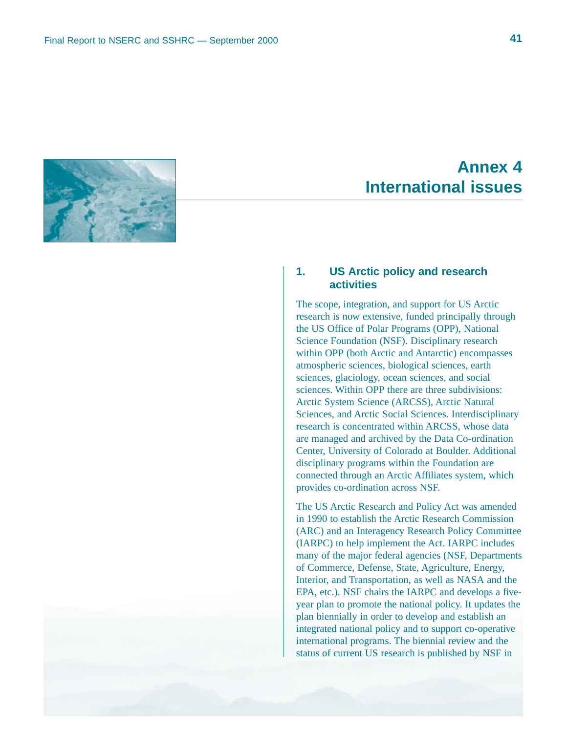

# **Annex 4 International issues**

### **1. US Arctic policy and research activities**

The scope, integration, and support for US Arctic research is now extensive, funded principally through the US Office of Polar Programs (OPP), National Science Foundation (NSF). Disciplinary research within OPP (both Arctic and Antarctic) encompasses atmospheric sciences, biological sciences, earth sciences, glaciology, ocean sciences, and social sciences. Within OPP there are three subdivisions: Arctic System Science (ARCSS), Arctic Natural Sciences, and Arctic Social Sciences. Interdisciplinary research is concentrated within ARCSS, whose data are managed and archived by the Data Co-ordination Center, University of Colorado at Boulder. Additional disciplinary programs within the Foundation are connected through an Arctic Affiliates system, which provides co-ordination across NSF.

The US Arctic Research and Policy Act was amended in 1990 to establish the Arctic Research Commission (ARC) and an Interagency Research Policy Committee (IARPC) to help implement the Act. IARPC includes many of the major federal agencies (NSF, Departments of Commerce, Defense, State, Agriculture, Energy, Interior, and Transportation, as well as NASA and the EPA, etc.). NSF chairs the IARPC and develops a fiveyear plan to promote the national policy. It updates the plan biennially in order to develop and establish an integrated national policy and to support co-operative international programs. The biennial review and the status of current US research is published by NSF in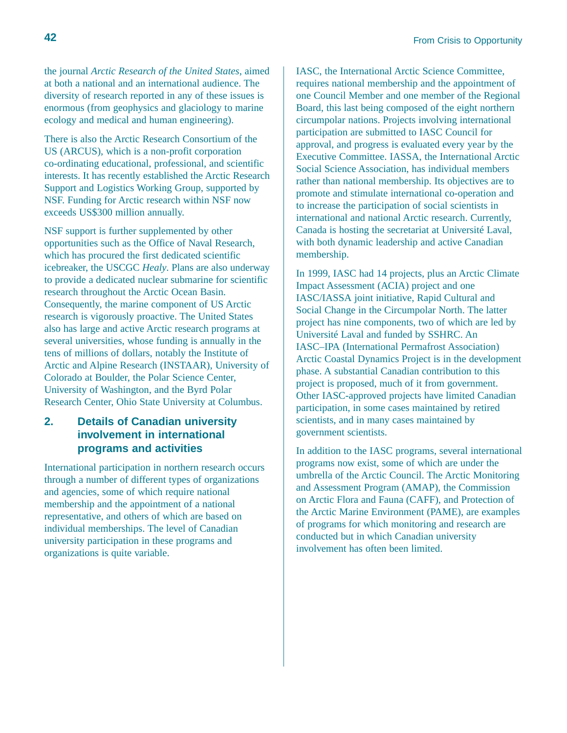the journal *Arctic Research of the United States*, aimed at both a national and an international audience. The diversity of research reported in any of these issues is enormous (from geophysics and glaciology to marine ecology and medical and human engineering).

There is also the Arctic Research Consortium of the US (ARCUS), which is a non-profit corporation co-ordinating educational, professional, and scientific interests. It has recently established the Arctic Research Support and Logistics Working Group, supported by NSF. Funding for Arctic research within NSF now exceeds US\$300 million annually.

NSF support is further supplemented by other opportunities such as the Office of Naval Research, which has procured the first dedicated scientific icebreaker, the USCGC *Healy*. Plans are also underway to provide a dedicated nuclear submarine for scientific research throughout the Arctic Ocean Basin. Consequently, the marine component of US Arctic research is vigorously proactive. The United States also has large and active Arctic research programs at several universities, whose funding is annually in the tens of millions of dollars, notably the Institute of Arctic and Alpine Research (INSTAAR), University of Colorado at Boulder, the Polar Science Center, University of Washington, and the Byrd Polar Research Center, Ohio State University at Columbus.

### **2. Details of Canadian university involvement in international programs and activities**

International participation in northern research occurs through a number of different types of organizations and agencies, some of which require national membership and the appointment of a national representative, and others of which are based on individual memberships. The level of Canadian university participation in these programs and organizations is quite variable.

IASC, the International Arctic Science Committee, requires national membership and the appointment of one Council Member and one member of the Regional Board, this last being composed of the eight northern circumpolar nations. Projects involving international participation are submitted to IASC Council for approval, and progress is evaluated every year by the Executive Committee. IASSA, the International Arctic Social Science Association, has individual members rather than national membership. Its objectives are to promote and stimulate international co-operation and to increase the participation of social scientists in international and national Arctic research. Currently, Canada is hosting the secretariat at Université Laval, with both dynamic leadership and active Canadian membership.

In 1999, IASC had 14 projects, plus an Arctic Climate Impact Assessment (ACIA) project and one IASC/IASSA joint initiative, Rapid Cultural and Social Change in the Circumpolar North. The latter project has nine components, two of which are led by Université Laval and funded by SSHRC. An IASC–IPA (International Permafrost Association) Arctic Coastal Dynamics Project is in the development phase. A substantial Canadian contribution to this project is proposed, much of it from government. Other IASC-approved projects have limited Canadian participation, in some cases maintained by retired scientists, and in many cases maintained by government scientists.

In addition to the IASC programs, several international programs now exist, some of which are under the umbrella of the Arctic Council. The Arctic Monitoring and Assessment Program (AMAP), the Commission on Arctic Flora and Fauna (CAFF), and Protection of the Arctic Marine Environment (PAME), are examples of programs for which monitoring and research are conducted but in which Canadian university involvement has often been limited.